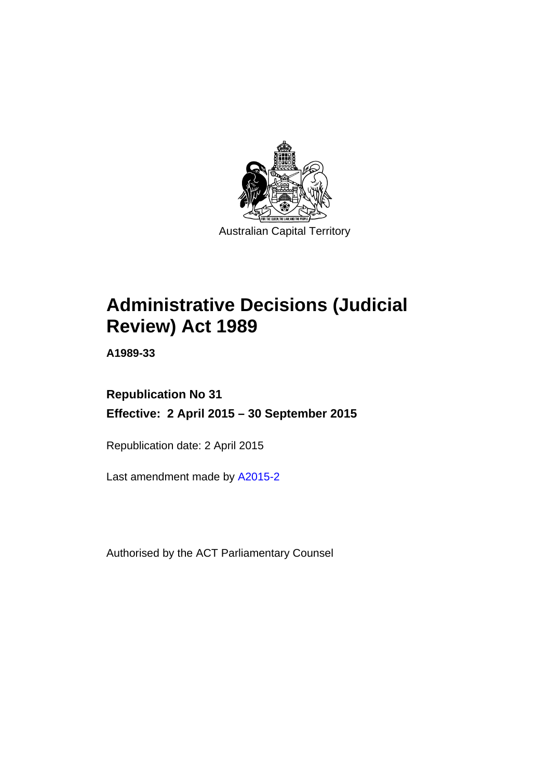

# **Administrative Decisions (Judicial Review) Act 1989**

**A1989-33** 

# **Republication No 31 Effective: 2 April 2015 – 30 September 2015**

Republication date: 2 April 2015

Last amendment made by [A2015-2](http://www.legislation.act.gov.au/a/2015-2)

Authorised by the ACT Parliamentary Counsel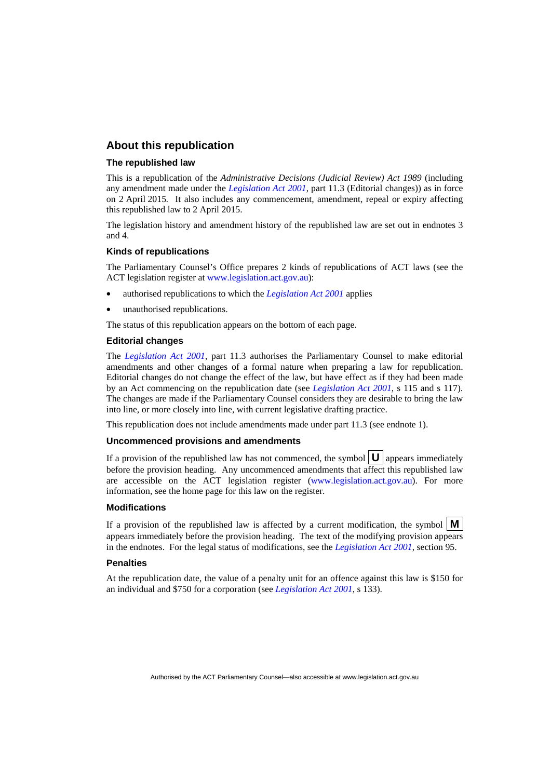### **About this republication**

#### **The republished law**

This is a republication of the *Administrative Decisions (Judicial Review) Act 1989* (including any amendment made under the *[Legislation Act 2001](http://www.legislation.act.gov.au/a/2001-14)*, part 11.3 (Editorial changes)) as in force on 2 April 2015*.* It also includes any commencement, amendment, repeal or expiry affecting this republished law to 2 April 2015.

The legislation history and amendment history of the republished law are set out in endnotes 3 and 4.

#### **Kinds of republications**

The Parliamentary Counsel's Office prepares 2 kinds of republications of ACT laws (see the ACT legislation register at [www.legislation.act.gov.au](http://www.legislation.act.gov.au/)):

- authorised republications to which the *[Legislation Act 2001](http://www.legislation.act.gov.au/a/2001-14)* applies
- unauthorised republications.

The status of this republication appears on the bottom of each page.

#### **Editorial changes**

The *[Legislation Act 2001](http://www.legislation.act.gov.au/a/2001-14)*, part 11.3 authorises the Parliamentary Counsel to make editorial amendments and other changes of a formal nature when preparing a law for republication. Editorial changes do not change the effect of the law, but have effect as if they had been made by an Act commencing on the republication date (see *[Legislation Act 2001](http://www.legislation.act.gov.au/a/2001-14)*, s 115 and s 117). The changes are made if the Parliamentary Counsel considers they are desirable to bring the law into line, or more closely into line, with current legislative drafting practice.

This republication does not include amendments made under part 11.3 (see endnote 1).

#### **Uncommenced provisions and amendments**

If a provision of the republished law has not commenced, the symbol  $\mathbf{U}$  appears immediately before the provision heading. Any uncommenced amendments that affect this republished law are accessible on the ACT legislation register [\(www.legislation.act.gov.au\)](http://www.legislation.act.gov.au/). For more information, see the home page for this law on the register.

#### **Modifications**

If a provision of the republished law is affected by a current modification, the symbol  $\mathbf{M}$ appears immediately before the provision heading. The text of the modifying provision appears in the endnotes. For the legal status of modifications, see the *[Legislation Act 2001](http://www.legislation.act.gov.au/a/2001-14)*, section 95.

#### **Penalties**

At the republication date, the value of a penalty unit for an offence against this law is \$150 for an individual and \$750 for a corporation (see *[Legislation Act 2001](http://www.legislation.act.gov.au/a/2001-14)*, s 133).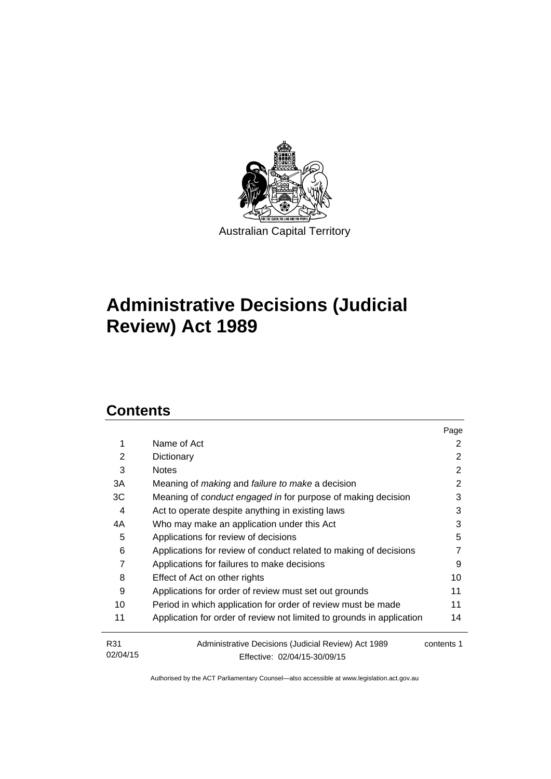

# **Administrative Decisions (Judicial Review) Act 1989**

# **Contents**

|                 |                                                                                     | Page       |
|-----------------|-------------------------------------------------------------------------------------|------------|
| 1               | Name of Act                                                                         | 2          |
| 2               | Dictionary                                                                          | 2          |
| 3               | <b>Notes</b>                                                                        | 2          |
| 3A              | Meaning of <i>making</i> and <i>failure to make</i> a decision                      | 2          |
| ЗC              | Meaning of <i>conduct engaged in</i> for purpose of making decision                 | 3          |
| 4               | Act to operate despite anything in existing laws                                    | 3          |
| 4A              | Who may make an application under this Act                                          | 3          |
| 5               | Applications for review of decisions                                                | 5          |
| 6               | Applications for review of conduct related to making of decisions                   | 7          |
| 7               | Applications for failures to make decisions                                         | 9          |
| 8               | Effect of Act on other rights                                                       | 10         |
| 9               | Applications for order of review must set out grounds                               | 11         |
| 10              | Period in which application for order of review must be made                        | 11         |
| 11              | Application for order of review not limited to grounds in application               | 14         |
| R31<br>02/04/15 | Administrative Decisions (Judicial Review) Act 1989<br>Effective: 02/04/15-30/09/15 | contents 1 |
|                 |                                                                                     |            |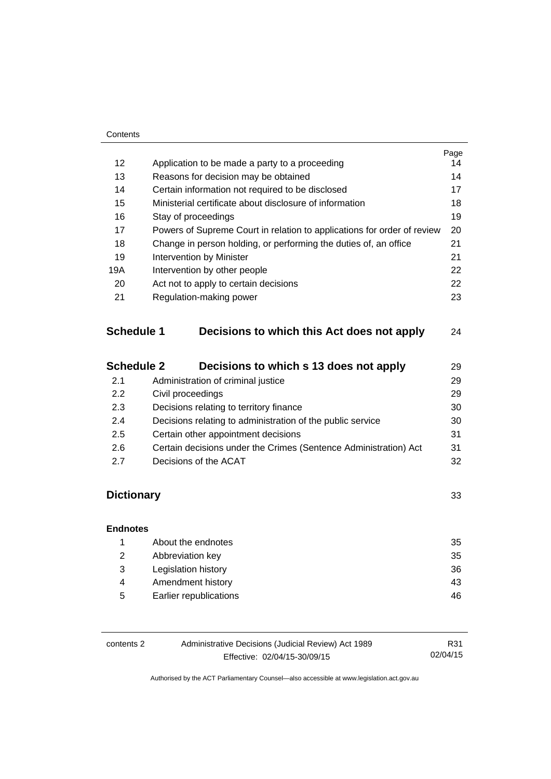#### **Contents**

|                   |                                                                         | Page |  |
|-------------------|-------------------------------------------------------------------------|------|--|
| 12                | Application to be made a party to a proceeding                          | 14   |  |
| 13                | Reasons for decision may be obtained                                    | 14   |  |
| 14                | Certain information not required to be disclosed                        | 17   |  |
| 15                | Ministerial certificate about disclosure of information                 | 18   |  |
| 16                | Stay of proceedings                                                     | 19   |  |
| 17                | Powers of Supreme Court in relation to applications for order of review | 20   |  |
| 18                | Change in person holding, or performing the duties of, an office        | 21   |  |
| 19                | 21<br>Intervention by Minister                                          |      |  |
| 19A               | Intervention by other people                                            |      |  |
| 20                | Act not to apply to certain decisions                                   | 22   |  |
| 21                | Regulation-making power                                                 | 23   |  |
| <b>Schedule 1</b> | Decisions to which this Act does not apply                              | 24   |  |
| <b>Schedule 2</b> | Decisions to which s 13 does not apply                                  | 29   |  |
| 2.1               | Administration of criminal justice                                      | 29   |  |

| 2.2 | Civil proceedings                                                | 29 |
|-----|------------------------------------------------------------------|----|
| 2.3 | Decisions relating to territory finance                          | 30 |
| 2.4 | Decisions relating to administration of the public service       | 30 |
| 2.5 | Certain other appointment decisions                              | 31 |
| 2.6 | Certain decisions under the Crimes (Sentence Administration) Act | 31 |
| 2.7 | Decisions of the ACAT                                            | 32 |

## **[Dictionary](#page-36-0)** [33](#page-36-0)

### **[Endnotes](#page-38-0)** 1 [About the endnotes 35](#page-38-1) 2 [Abbreviation key 35](#page-38-2) 3 [Legislation history 36](#page-39-0) 4 Amendment history **43** 5 [Earlier republications 46](#page-49-0)

| contents 2 | Administrative Decisions (Judicial Review) Act 1989 | R31      |
|------------|-----------------------------------------------------|----------|
|            | Effective: 02/04/15-30/09/15                        | 02/04/15 |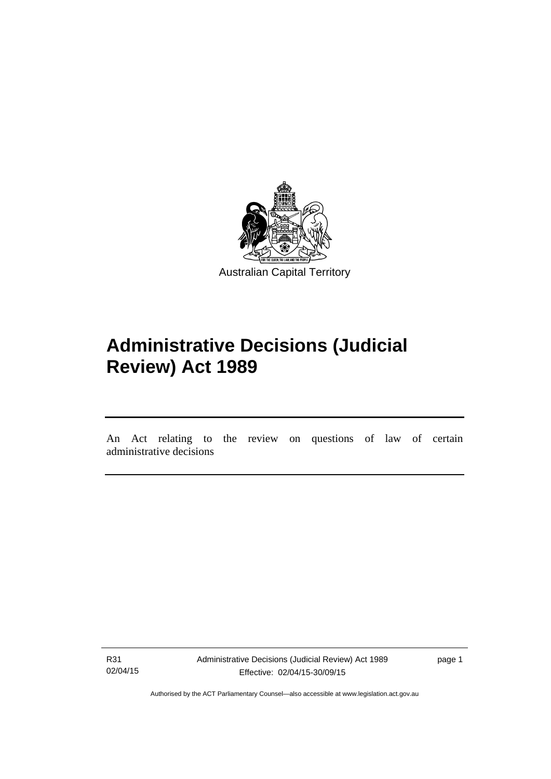

# **Administrative Decisions (Judicial Review) Act 1989**

An Act relating to the review on questions of law of certain administrative decisions

R31 02/04/15

l

Administrative Decisions (Judicial Review) Act 1989 Effective: 02/04/15-30/09/15

page 1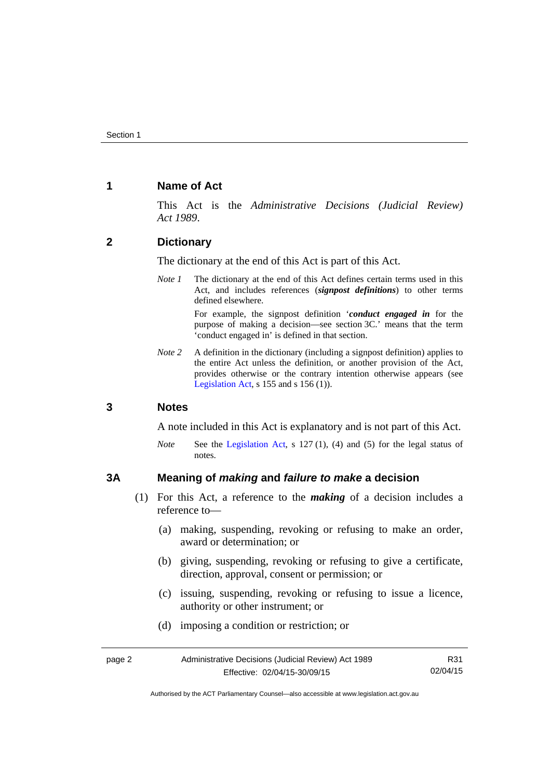### <span id="page-5-0"></span>**1 Name of Act**

This Act is the *Administrative Decisions (Judicial Review) Act 1989*.

### <span id="page-5-1"></span>**2 Dictionary**

The dictionary at the end of this Act is part of this Act.

*Note 1* The dictionary at the end of this Act defines certain terms used in this Act, and includes references (*signpost definitions*) to other terms defined elsewhere.

> For example, the signpost definition '*conduct engaged in* for the purpose of making a decision—see section 3C.' means that the term 'conduct engaged in' is defined in that section.

*Note 2* A definition in the dictionary (including a signpost definition) applies to the entire Act unless the definition, or another provision of the Act, provides otherwise or the contrary intention otherwise appears (see [Legislation Act,](http://www.legislation.act.gov.au/a/2001-14) s  $155$  and s  $156$  (1)).

### <span id="page-5-2"></span>**3 Notes**

A note included in this Act is explanatory and is not part of this Act.

*Note* See the [Legislation Act,](http://www.legislation.act.gov.au/a/2001-14) s 127 (1), (4) and (5) for the legal status of notes.

### <span id="page-5-3"></span>**3A Meaning of** *making* **and** *failure to make* **a decision**

- (1) For this Act, a reference to the *making* of a decision includes a reference to—
	- (a) making, suspending, revoking or refusing to make an order, award or determination; or
	- (b) giving, suspending, revoking or refusing to give a certificate, direction, approval, consent or permission; or
	- (c) issuing, suspending, revoking or refusing to issue a licence, authority or other instrument; or
	- (d) imposing a condition or restriction; or

| page 2 | Administrative Decisions (Judicial Review) Act 1989 | R31      |
|--------|-----------------------------------------------------|----------|
|        | Effective: 02/04/15-30/09/15                        | 02/04/15 |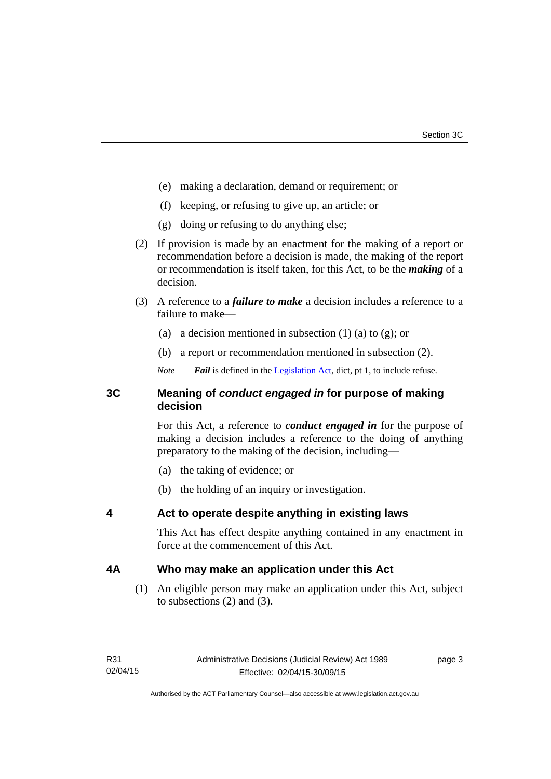- (e) making a declaration, demand or requirement; or
- (f) keeping, or refusing to give up, an article; or
- (g) doing or refusing to do anything else;
- (2) If provision is made by an enactment for the making of a report or recommendation before a decision is made, the making of the report or recommendation is itself taken, for this Act, to be the *making* of a decision.
- (3) A reference to a *failure to make* a decision includes a reference to a failure to make—
	- (a) a decision mentioned in subsection  $(1)$  (a) to  $(g)$ ; or
	- (b) a report or recommendation mentioned in subsection (2).
	- *Note Fail* is defined in the [Legislation Act](http://www.legislation.act.gov.au/a/2001-14), dict, pt 1, to include refuse.

### <span id="page-6-0"></span>**3C Meaning of** *conduct engaged in* **for purpose of making decision**

For this Act, a reference to *conduct engaged in* for the purpose of making a decision includes a reference to the doing of anything preparatory to the making of the decision, including—

- (a) the taking of evidence; or
- (b) the holding of an inquiry or investigation.

### <span id="page-6-1"></span>**4 Act to operate despite anything in existing laws**

This Act has effect despite anything contained in any enactment in force at the commencement of this Act.

### <span id="page-6-2"></span>**4A Who may make an application under this Act**

(1) An eligible person may make an application under this Act, subject to subsections (2) and (3).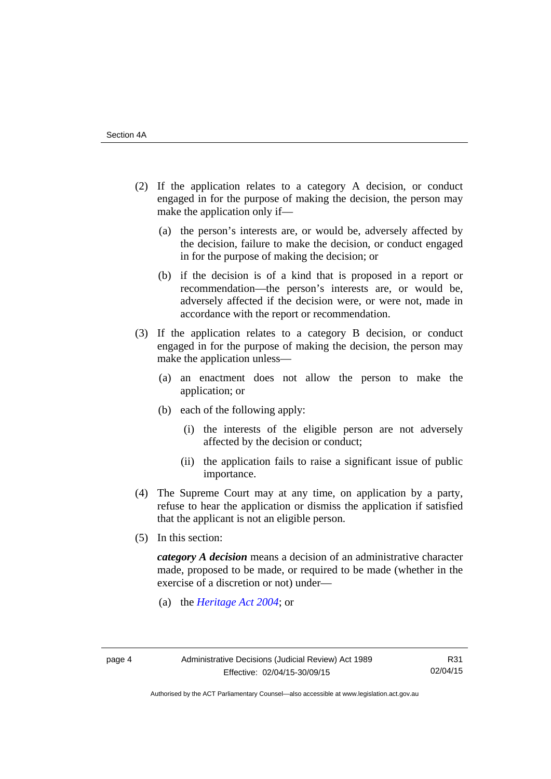- (2) If the application relates to a category A decision, or conduct engaged in for the purpose of making the decision, the person may make the application only if—
	- (a) the person's interests are, or would be, adversely affected by the decision, failure to make the decision, or conduct engaged in for the purpose of making the decision; or
	- (b) if the decision is of a kind that is proposed in a report or recommendation—the person's interests are, or would be, adversely affected if the decision were, or were not, made in accordance with the report or recommendation.
- (3) If the application relates to a category B decision, or conduct engaged in for the purpose of making the decision, the person may make the application unless—
	- (a) an enactment does not allow the person to make the application; or
	- (b) each of the following apply:
		- (i) the interests of the eligible person are not adversely affected by the decision or conduct;
		- (ii) the application fails to raise a significant issue of public importance.
- (4) The Supreme Court may at any time, on application by a party, refuse to hear the application or dismiss the application if satisfied that the applicant is not an eligible person.
- (5) In this section:

*category A decision* means a decision of an administrative character made, proposed to be made, or required to be made (whether in the exercise of a discretion or not) under—

(a) the *[Heritage Act 2004](http://www.legislation.act.gov.au/a/2004-57/default.asp)*; or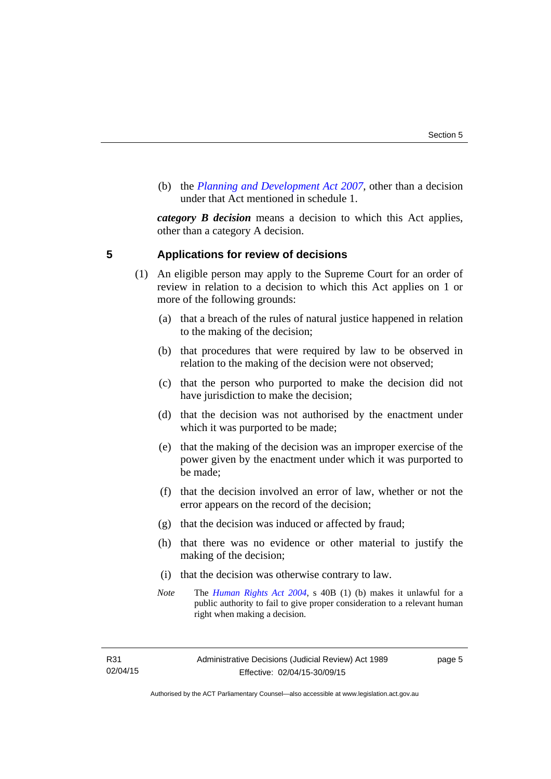(b) the *[Planning and Development Act 2007](http://www.legislation.act.gov.au/a/2007-24/default.asp)*, other than a decision under that Act mentioned in schedule 1.

*category B decision* means a decision to which this Act applies, other than a category A decision.

### <span id="page-8-0"></span>**5 Applications for review of decisions**

- (1) An eligible person may apply to the Supreme Court for an order of review in relation to a decision to which this Act applies on 1 or more of the following grounds:
	- (a) that a breach of the rules of natural justice happened in relation to the making of the decision;
	- (b) that procedures that were required by law to be observed in relation to the making of the decision were not observed;
	- (c) that the person who purported to make the decision did not have jurisdiction to make the decision;
	- (d) that the decision was not authorised by the enactment under which it was purported to be made;
	- (e) that the making of the decision was an improper exercise of the power given by the enactment under which it was purported to be made;
	- (f) that the decision involved an error of law, whether or not the error appears on the record of the decision;
	- (g) that the decision was induced or affected by fraud;
	- (h) that there was no evidence or other material to justify the making of the decision;
	- (i) that the decision was otherwise contrary to law.
	- *Note* The *[Human Rights Act 2004](http://www.legislation.act.gov.au/a/2004-5)*, s 40B (1) (b) makes it unlawful for a public authority to fail to give proper consideration to a relevant human right when making a decision.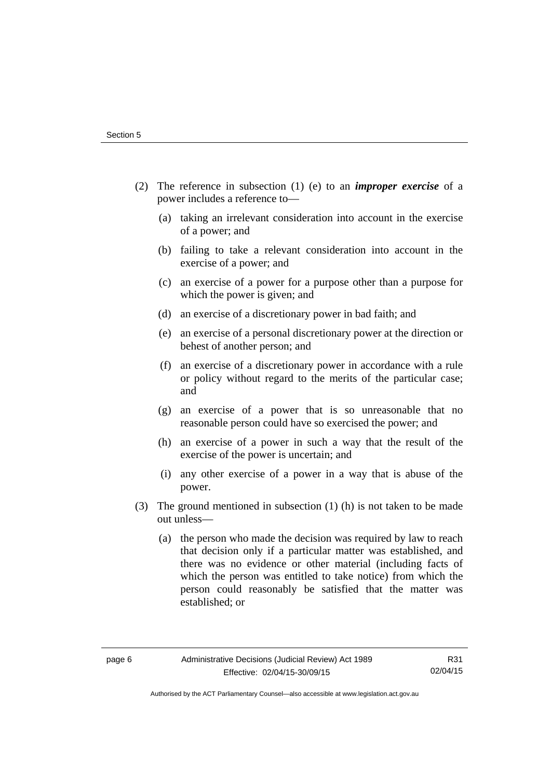- (2) The reference in subsection (1) (e) to an *improper exercise* of a power includes a reference to—
	- (a) taking an irrelevant consideration into account in the exercise of a power; and
	- (b) failing to take a relevant consideration into account in the exercise of a power; and
	- (c) an exercise of a power for a purpose other than a purpose for which the power is given; and
	- (d) an exercise of a discretionary power in bad faith; and
	- (e) an exercise of a personal discretionary power at the direction or behest of another person; and
	- (f) an exercise of a discretionary power in accordance with a rule or policy without regard to the merits of the particular case; and
	- (g) an exercise of a power that is so unreasonable that no reasonable person could have so exercised the power; and
	- (h) an exercise of a power in such a way that the result of the exercise of the power is uncertain; and
	- (i) any other exercise of a power in a way that is abuse of the power.
- (3) The ground mentioned in subsection (1) (h) is not taken to be made out unless—
	- (a) the person who made the decision was required by law to reach that decision only if a particular matter was established, and there was no evidence or other material (including facts of which the person was entitled to take notice) from which the person could reasonably be satisfied that the matter was established; or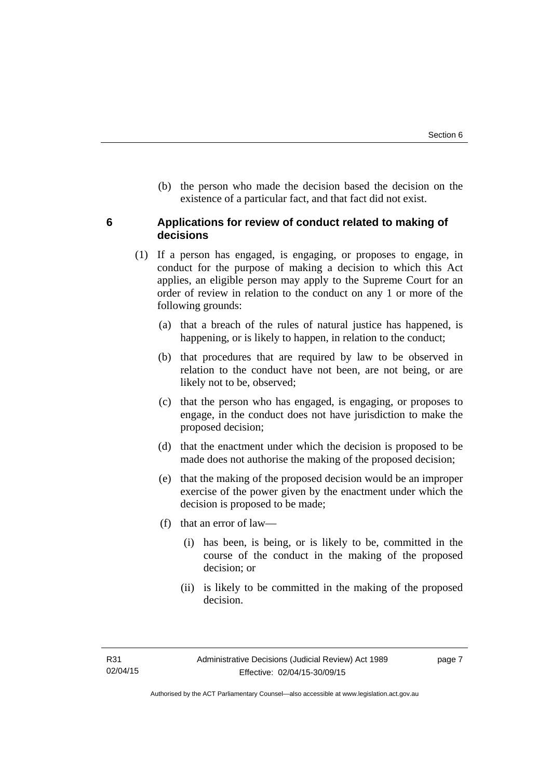(b) the person who made the decision based the decision on the existence of a particular fact, and that fact did not exist.

### <span id="page-10-0"></span>**6 Applications for review of conduct related to making of decisions**

- (1) If a person has engaged, is engaging, or proposes to engage, in conduct for the purpose of making a decision to which this Act applies, an eligible person may apply to the Supreme Court for an order of review in relation to the conduct on any 1 or more of the following grounds:
	- (a) that a breach of the rules of natural justice has happened, is happening, or is likely to happen, in relation to the conduct;
	- (b) that procedures that are required by law to be observed in relation to the conduct have not been, are not being, or are likely not to be, observed;
	- (c) that the person who has engaged, is engaging, or proposes to engage, in the conduct does not have jurisdiction to make the proposed decision;
	- (d) that the enactment under which the decision is proposed to be made does not authorise the making of the proposed decision;
	- (e) that the making of the proposed decision would be an improper exercise of the power given by the enactment under which the decision is proposed to be made;
	- (f) that an error of law—
		- (i) has been, is being, or is likely to be, committed in the course of the conduct in the making of the proposed decision; or
		- (ii) is likely to be committed in the making of the proposed decision.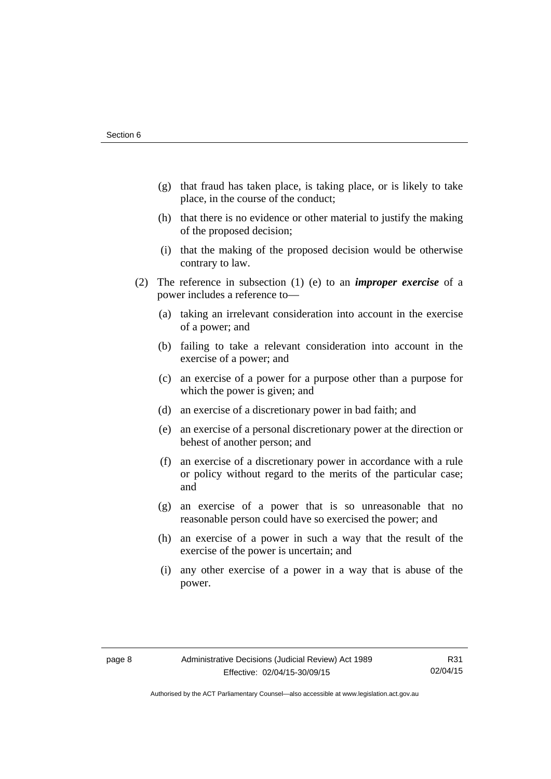- (g) that fraud has taken place, is taking place, or is likely to take place, in the course of the conduct;
- (h) that there is no evidence or other material to justify the making of the proposed decision;
- (i) that the making of the proposed decision would be otherwise contrary to law.
- (2) The reference in subsection (1) (e) to an *improper exercise* of a power includes a reference to—
	- (a) taking an irrelevant consideration into account in the exercise of a power; and
	- (b) failing to take a relevant consideration into account in the exercise of a power; and
	- (c) an exercise of a power for a purpose other than a purpose for which the power is given; and
	- (d) an exercise of a discretionary power in bad faith; and
	- (e) an exercise of a personal discretionary power at the direction or behest of another person; and
	- (f) an exercise of a discretionary power in accordance with a rule or policy without regard to the merits of the particular case; and
	- (g) an exercise of a power that is so unreasonable that no reasonable person could have so exercised the power; and
	- (h) an exercise of a power in such a way that the result of the exercise of the power is uncertain; and
	- (i) any other exercise of a power in a way that is abuse of the power.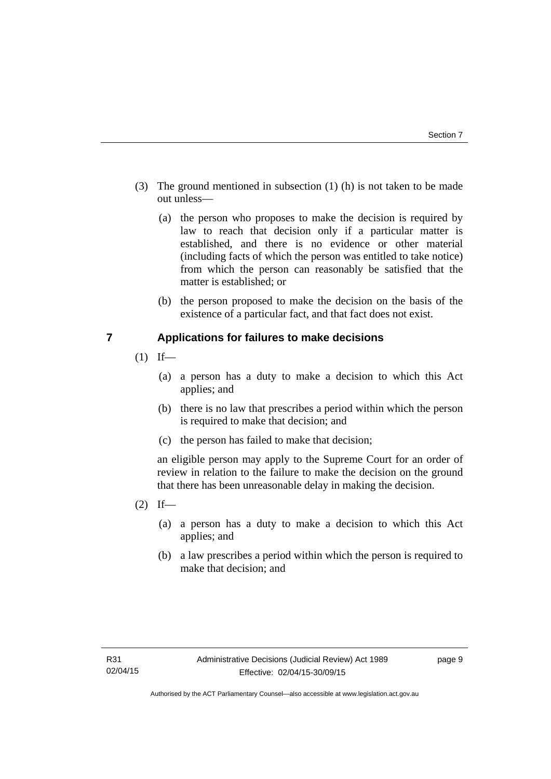- (3) The ground mentioned in subsection (1) (h) is not taken to be made out unless—
	- (a) the person who proposes to make the decision is required by law to reach that decision only if a particular matter is established, and there is no evidence or other material (including facts of which the person was entitled to take notice) from which the person can reasonably be satisfied that the matter is established; or
	- (b) the person proposed to make the decision on the basis of the existence of a particular fact, and that fact does not exist.

### <span id="page-12-0"></span>**7 Applications for failures to make decisions**

- $(1)$  If—
	- (a) a person has a duty to make a decision to which this Act applies; and
	- (b) there is no law that prescribes a period within which the person is required to make that decision; and
	- (c) the person has failed to make that decision;

an eligible person may apply to the Supreme Court for an order of review in relation to the failure to make the decision on the ground that there has been unreasonable delay in making the decision.

- $(2)$  If—
	- (a) a person has a duty to make a decision to which this Act applies; and
	- (b) a law prescribes a period within which the person is required to make that decision; and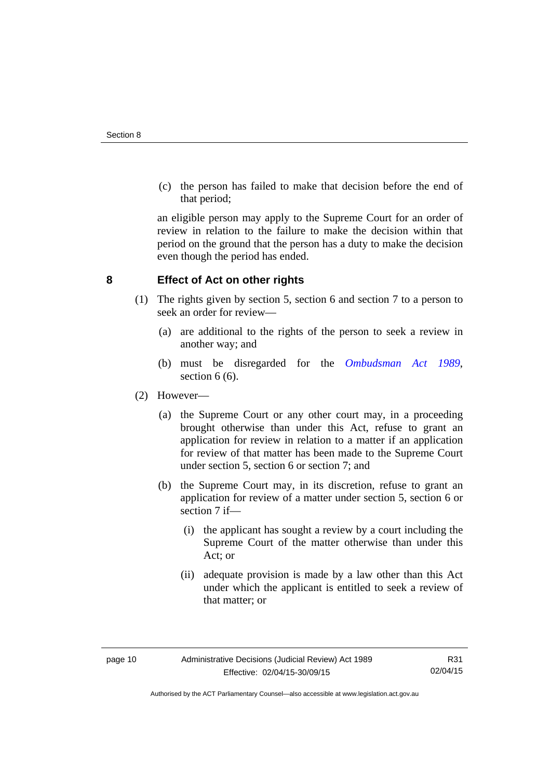(c) the person has failed to make that decision before the end of that period;

an eligible person may apply to the Supreme Court for an order of review in relation to the failure to make the decision within that period on the ground that the person has a duty to make the decision even though the period has ended.

### <span id="page-13-0"></span>**8 Effect of Act on other rights**

- (1) The rights given by section 5, section 6 and section 7 to a person to seek an order for review—
	- (a) are additional to the rights of the person to seek a review in another way; and
	- (b) must be disregarded for the *[Ombudsman Act 1989](http://www.legislation.act.gov.au/a/alt_a1989-45co)*, section 6 (6).
- (2) However—
	- (a) the Supreme Court or any other court may, in a proceeding brought otherwise than under this Act, refuse to grant an application for review in relation to a matter if an application for review of that matter has been made to the Supreme Court under section 5, section 6 or section 7; and
	- (b) the Supreme Court may, in its discretion, refuse to grant an application for review of a matter under section 5, section 6 or section 7 if—
		- (i) the applicant has sought a review by a court including the Supreme Court of the matter otherwise than under this Act; or
		- (ii) adequate provision is made by a law other than this Act under which the applicant is entitled to seek a review of that matter; or

Authorised by the ACT Parliamentary Counsel—also accessible at www.legislation.act.gov.au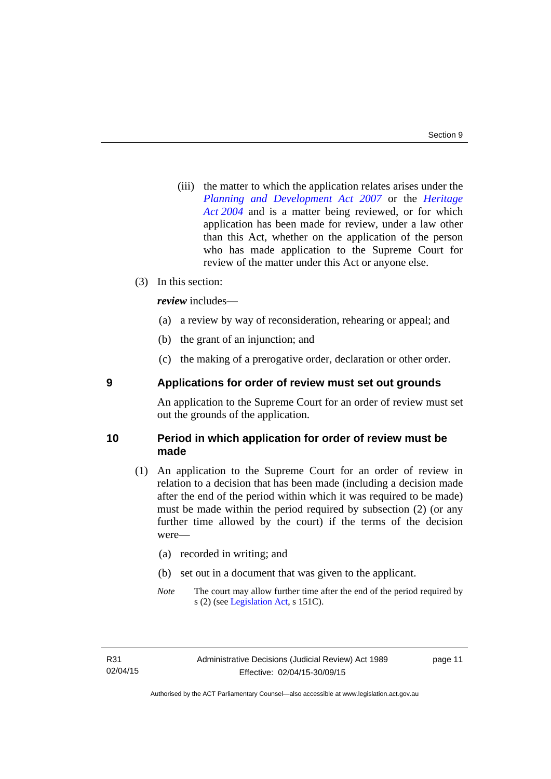(iii) the matter to which the application relates arises under the *[Planning and Development Act 2007](http://www.legislation.act.gov.au/a/2007-24)* or the *[Heritage](http://www.legislation.act.gov.au/a/2004-57)  [Act 2004](http://www.legislation.act.gov.au/a/2004-57)* and is a matter being reviewed, or for which application has been made for review, under a law other than this Act, whether on the application of the person who has made application to the Supreme Court for review of the matter under this Act or anyone else.

### (3) In this section:

*review* includes—

- (a) a review by way of reconsideration, rehearing or appeal; and
- (b) the grant of an injunction; and
- (c) the making of a prerogative order, declaration or other order.

### <span id="page-14-0"></span>**9 Applications for order of review must set out grounds**

An application to the Supreme Court for an order of review must set out the grounds of the application.

### <span id="page-14-1"></span>**10 Period in which application for order of review must be made**

- (1) An application to the Supreme Court for an order of review in relation to a decision that has been made (including a decision made after the end of the period within which it was required to be made) must be made within the period required by subsection (2) (or any further time allowed by the court) if the terms of the decision were—
	- (a) recorded in writing; and
	- (b) set out in a document that was given to the applicant.
	- *Note* The court may allow further time after the end of the period required by s (2) (see [Legislation Act](http://www.legislation.act.gov.au/a/2001-14), s 151C).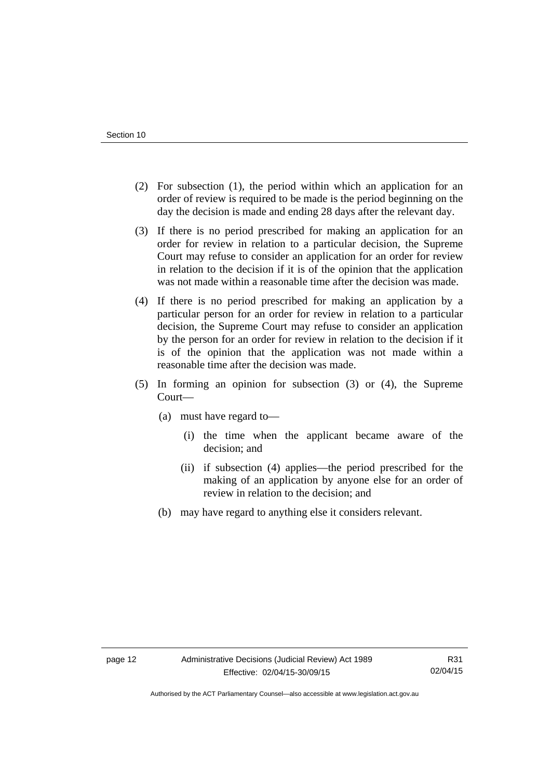- (2) For subsection (1), the period within which an application for an order of review is required to be made is the period beginning on the day the decision is made and ending 28 days after the relevant day.
- (3) If there is no period prescribed for making an application for an order for review in relation to a particular decision, the Supreme Court may refuse to consider an application for an order for review in relation to the decision if it is of the opinion that the application was not made within a reasonable time after the decision was made.
- (4) If there is no period prescribed for making an application by a particular person for an order for review in relation to a particular decision, the Supreme Court may refuse to consider an application by the person for an order for review in relation to the decision if it is of the opinion that the application was not made within a reasonable time after the decision was made.
- (5) In forming an opinion for subsection (3) or (4), the Supreme Court—
	- (a) must have regard to—
		- (i) the time when the applicant became aware of the decision; and
		- (ii) if subsection (4) applies—the period prescribed for the making of an application by anyone else for an order of review in relation to the decision; and
	- (b) may have regard to anything else it considers relevant.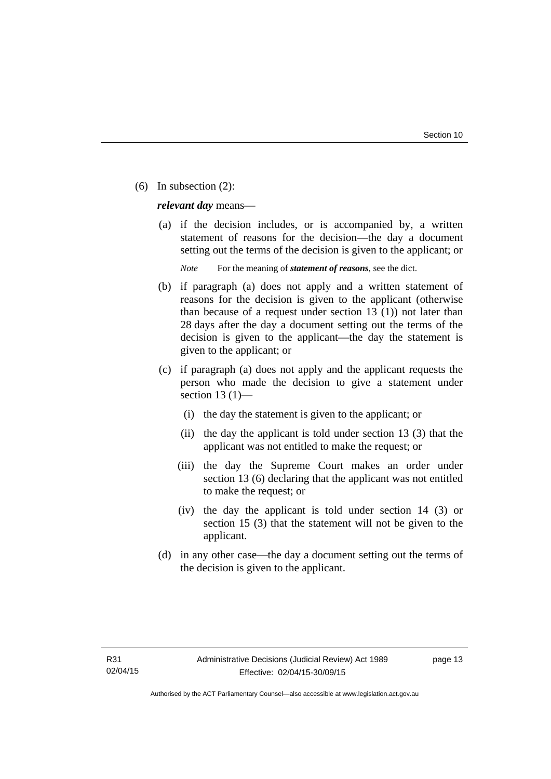(6) In subsection (2):

*relevant day* means—

 (a) if the decision includes, or is accompanied by, a written statement of reasons for the decision—the day a document setting out the terms of the decision is given to the applicant; or

*Note* For the meaning of *statement of reasons*, see the dict.

- (b) if paragraph (a) does not apply and a written statement of reasons for the decision is given to the applicant (otherwise than because of a request under section 13 (1)) not later than 28 days after the day a document setting out the terms of the decision is given to the applicant—the day the statement is given to the applicant; or
- (c) if paragraph (a) does not apply and the applicant requests the person who made the decision to give a statement under section 13 $(1)$ —
	- (i) the day the statement is given to the applicant; or
	- (ii) the day the applicant is told under section 13 (3) that the applicant was not entitled to make the request; or
	- (iii) the day the Supreme Court makes an order under section 13 (6) declaring that the applicant was not entitled to make the request; or
	- (iv) the day the applicant is told under section 14 (3) or section 15 (3) that the statement will not be given to the applicant.
- (d) in any other case—the day a document setting out the terms of the decision is given to the applicant.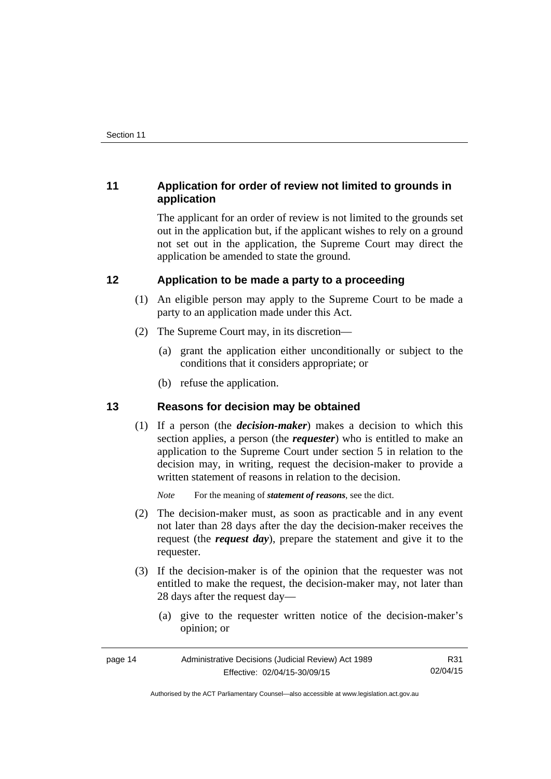### <span id="page-17-0"></span>**11 Application for order of review not limited to grounds in application**

The applicant for an order of review is not limited to the grounds set out in the application but, if the applicant wishes to rely on a ground not set out in the application, the Supreme Court may direct the application be amended to state the ground.

### <span id="page-17-1"></span>**12 Application to be made a party to a proceeding**

- (1) An eligible person may apply to the Supreme Court to be made a party to an application made under this Act.
- (2) The Supreme Court may, in its discretion—
	- (a) grant the application either unconditionally or subject to the conditions that it considers appropriate; or
	- (b) refuse the application.

### <span id="page-17-2"></span>**13 Reasons for decision may be obtained**

(1) If a person (the *decision-maker*) makes a decision to which this section applies, a person (the *requester*) who is entitled to make an application to the Supreme Court under section 5 in relation to the decision may, in writing, request the decision-maker to provide a written statement of reasons in relation to the decision.

*Note* For the meaning of *statement of reasons*, see the dict.

- (2) The decision-maker must, as soon as practicable and in any event not later than 28 days after the day the decision-maker receives the request (the *request day*), prepare the statement and give it to the requester.
- (3) If the decision-maker is of the opinion that the requester was not entitled to make the request, the decision-maker may, not later than 28 days after the request day—
	- (a) give to the requester written notice of the decision-maker's opinion; or

| page 14 | Administrative Decisions (Judicial Review) Act 1989 | R31      |
|---------|-----------------------------------------------------|----------|
|         | Effective: 02/04/15-30/09/15                        | 02/04/15 |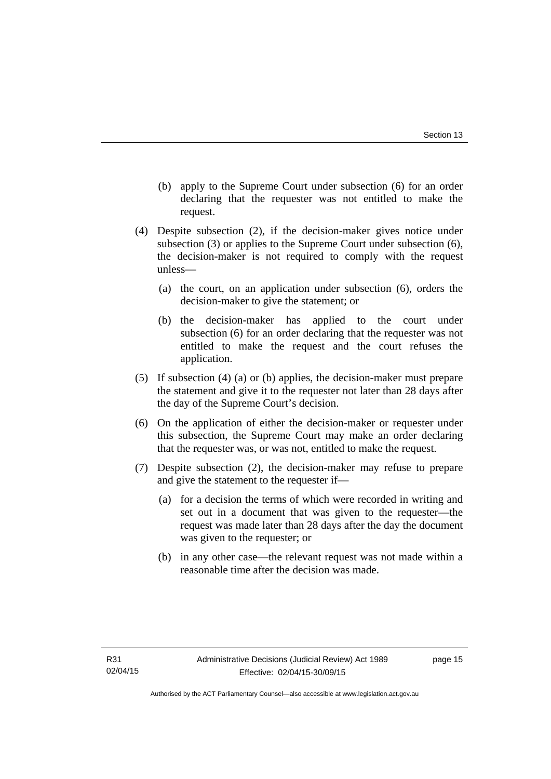- (b) apply to the Supreme Court under subsection (6) for an order declaring that the requester was not entitled to make the request.
- (4) Despite subsection (2), if the decision-maker gives notice under subsection (3) or applies to the Supreme Court under subsection (6), the decision-maker is not required to comply with the request unless—
	- (a) the court, on an application under subsection (6), orders the decision-maker to give the statement; or
	- (b) the decision-maker has applied to the court under subsection (6) for an order declaring that the requester was not entitled to make the request and the court refuses the application.
- (5) If subsection (4) (a) or (b) applies, the decision-maker must prepare the statement and give it to the requester not later than 28 days after the day of the Supreme Court's decision.
- (6) On the application of either the decision-maker or requester under this subsection, the Supreme Court may make an order declaring that the requester was, or was not, entitled to make the request.
- (7) Despite subsection (2), the decision-maker may refuse to prepare and give the statement to the requester if—
	- (a) for a decision the terms of which were recorded in writing and set out in a document that was given to the requester—the request was made later than 28 days after the day the document was given to the requester; or
	- (b) in any other case—the relevant request was not made within a reasonable time after the decision was made.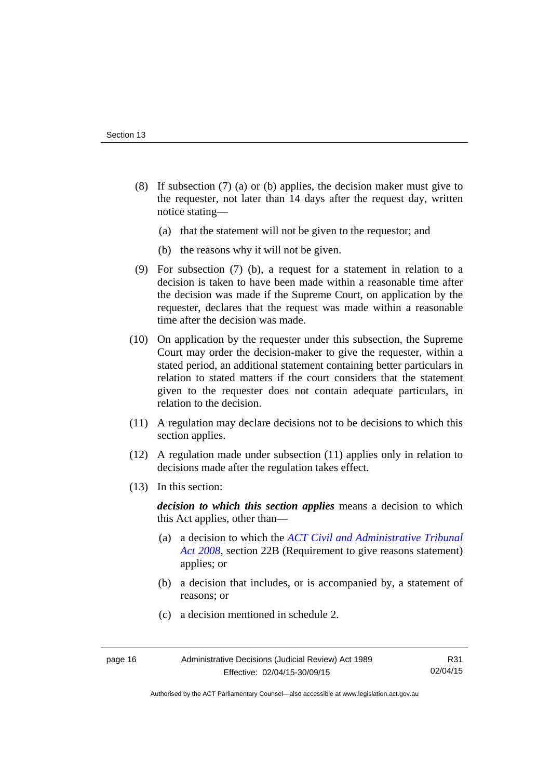- (8) If subsection (7) (a) or (b) applies, the decision maker must give to the requester, not later than 14 days after the request day, written notice stating—
	- (a) that the statement will not be given to the requestor; and
	- (b) the reasons why it will not be given.
- (9) For subsection (7) (b), a request for a statement in relation to a decision is taken to have been made within a reasonable time after the decision was made if the Supreme Court, on application by the requester, declares that the request was made within a reasonable time after the decision was made.
- (10) On application by the requester under this subsection, the Supreme Court may order the decision-maker to give the requester, within a stated period, an additional statement containing better particulars in relation to stated matters if the court considers that the statement given to the requester does not contain adequate particulars, in relation to the decision.
- (11) A regulation may declare decisions not to be decisions to which this section applies.
- (12) A regulation made under subsection (11) applies only in relation to decisions made after the regulation takes effect.
- (13) In this section:

*decision to which this section applies* means a decision to which this Act applies, other than—

- (a) a decision to which the *[ACT Civil and Administrative Tribunal](http://www.legislation.act.gov.au/a/2008-35)  [Act 2008](http://www.legislation.act.gov.au/a/2008-35)*, section 22B (Requirement to give reasons statement) applies; or
- (b) a decision that includes, or is accompanied by, a statement of reasons; or
- (c) a decision mentioned in schedule 2.

Authorised by the ACT Parliamentary Counsel—also accessible at www.legislation.act.gov.au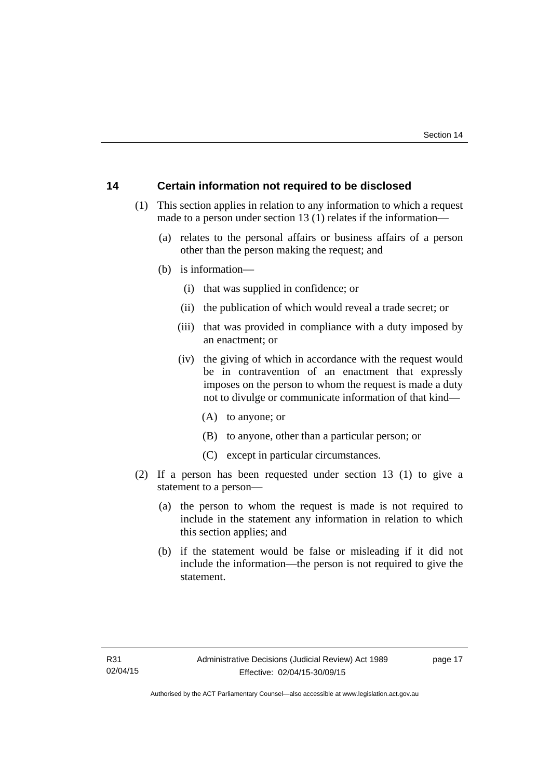### <span id="page-20-0"></span>**14 Certain information not required to be disclosed**

- (1) This section applies in relation to any information to which a request made to a person under section 13 (1) relates if the information—
	- (a) relates to the personal affairs or business affairs of a person other than the person making the request; and
	- (b) is information—
		- (i) that was supplied in confidence; or
		- (ii) the publication of which would reveal a trade secret; or
		- (iii) that was provided in compliance with a duty imposed by an enactment; or
		- (iv) the giving of which in accordance with the request would be in contravention of an enactment that expressly imposes on the person to whom the request is made a duty not to divulge or communicate information of that kind—
			- (A) to anyone; or
			- (B) to anyone, other than a particular person; or
			- (C) except in particular circumstances.
- (2) If a person has been requested under section 13 (1) to give a statement to a person—
	- (a) the person to whom the request is made is not required to include in the statement any information in relation to which this section applies; and
	- (b) if the statement would be false or misleading if it did not include the information—the person is not required to give the statement.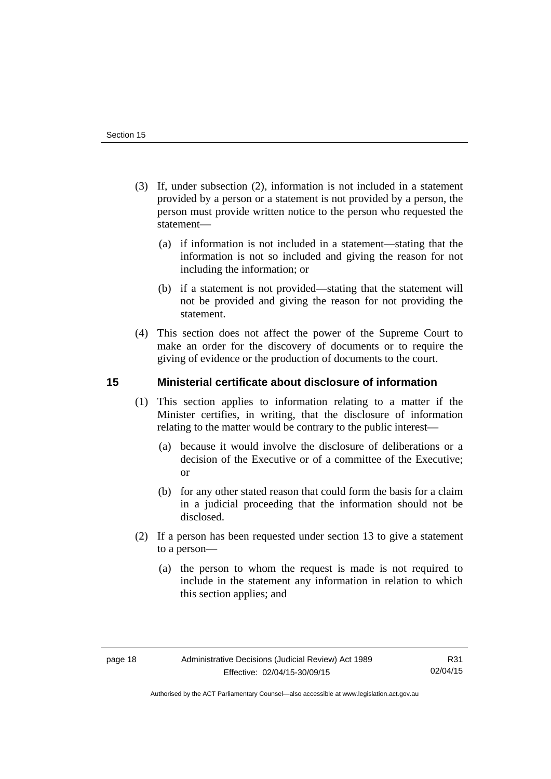- (3) If, under subsection (2), information is not included in a statement provided by a person or a statement is not provided by a person, the person must provide written notice to the person who requested the statement—
	- (a) if information is not included in a statement—stating that the information is not so included and giving the reason for not including the information; or
	- (b) if a statement is not provided—stating that the statement will not be provided and giving the reason for not providing the statement.
- (4) This section does not affect the power of the Supreme Court to make an order for the discovery of documents or to require the giving of evidence or the production of documents to the court.

### <span id="page-21-0"></span>**15 Ministerial certificate about disclosure of information**

- (1) This section applies to information relating to a matter if the Minister certifies, in writing, that the disclosure of information relating to the matter would be contrary to the public interest—
	- (a) because it would involve the disclosure of deliberations or a decision of the Executive or of a committee of the Executive; or
	- (b) for any other stated reason that could form the basis for a claim in a judicial proceeding that the information should not be disclosed.
- (2) If a person has been requested under section 13 to give a statement to a person—
	- (a) the person to whom the request is made is not required to include in the statement any information in relation to which this section applies; and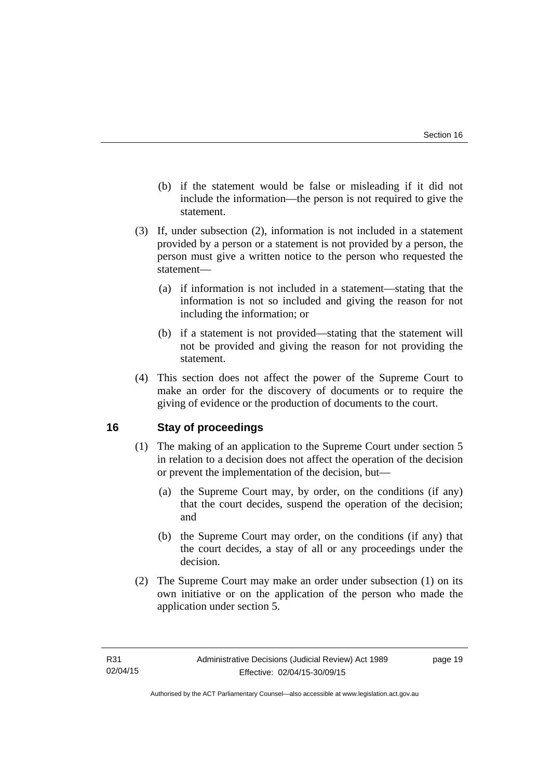- (b) if the statement would be false or misleading if it did not include the information—the person is not required to give the statement.
- (3) If, under subsection (2), information is not included in a statement provided by a person or a statement is not provided by a person, the person must give a written notice to the person who requested the statement—
	- (a) if information is not included in a statement—stating that the information is not so included and giving the reason for not including the information; or
	- (b) if a statement is not provided—stating that the statement will not be provided and giving the reason for not providing the statement.
- (4) This section does not affect the power of the Supreme Court to make an order for the discovery of documents or to require the giving of evidence or the production of documents to the court.

### <span id="page-22-0"></span>**16 Stay of proceedings**

- (1) The making of an application to the Supreme Court under section 5 in relation to a decision does not affect the operation of the decision or prevent the implementation of the decision, but—
	- (a) the Supreme Court may, by order, on the conditions (if any) that the court decides, suspend the operation of the decision; and
	- (b) the Supreme Court may order, on the conditions (if any) that the court decides, a stay of all or any proceedings under the decision.
- (2) The Supreme Court may make an order under subsection (1) on its own initiative or on the application of the person who made the application under section 5.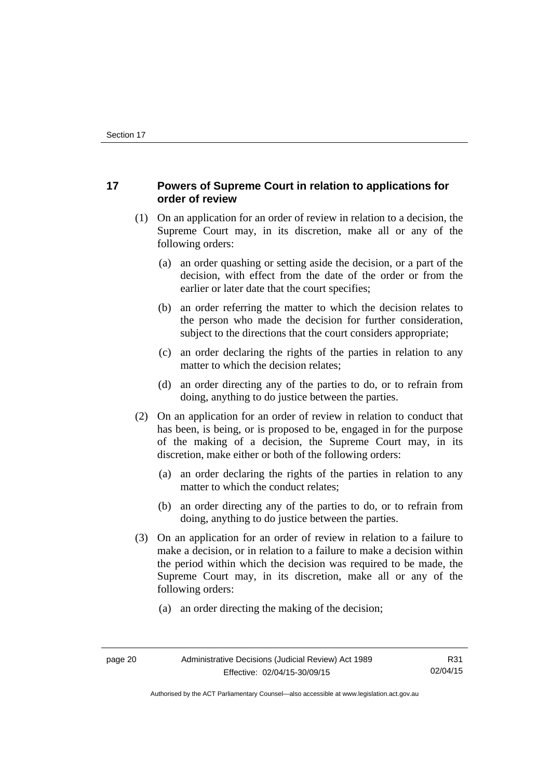### <span id="page-23-0"></span>**17 Powers of Supreme Court in relation to applications for order of review**

- (1) On an application for an order of review in relation to a decision, the Supreme Court may, in its discretion, make all or any of the following orders:
	- (a) an order quashing or setting aside the decision, or a part of the decision, with effect from the date of the order or from the earlier or later date that the court specifies;
	- (b) an order referring the matter to which the decision relates to the person who made the decision for further consideration, subject to the directions that the court considers appropriate;
	- (c) an order declaring the rights of the parties in relation to any matter to which the decision relates;
	- (d) an order directing any of the parties to do, or to refrain from doing, anything to do justice between the parties.
- (2) On an application for an order of review in relation to conduct that has been, is being, or is proposed to be, engaged in for the purpose of the making of a decision, the Supreme Court may, in its discretion, make either or both of the following orders:
	- (a) an order declaring the rights of the parties in relation to any matter to which the conduct relates;
	- (b) an order directing any of the parties to do, or to refrain from doing, anything to do justice between the parties.
- (3) On an application for an order of review in relation to a failure to make a decision, or in relation to a failure to make a decision within the period within which the decision was required to be made, the Supreme Court may, in its discretion, make all or any of the following orders:
	- (a) an order directing the making of the decision;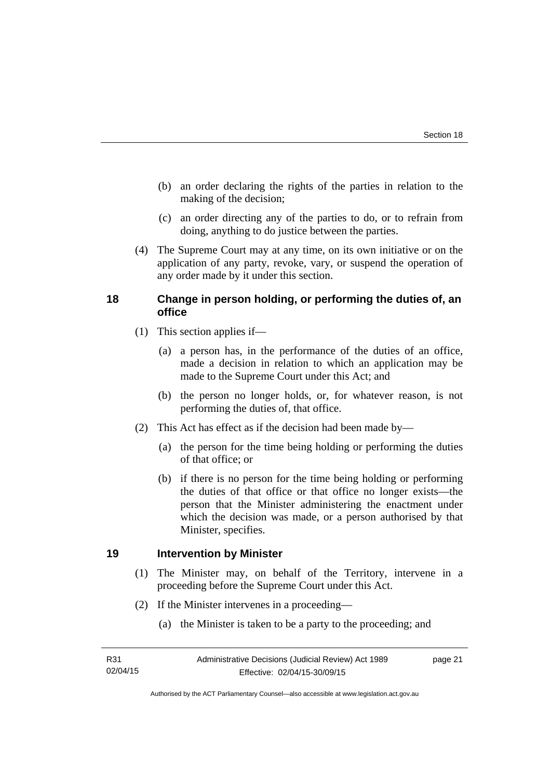- (b) an order declaring the rights of the parties in relation to the making of the decision;
- (c) an order directing any of the parties to do, or to refrain from doing, anything to do justice between the parties.
- (4) The Supreme Court may at any time, on its own initiative or on the application of any party, revoke, vary, or suspend the operation of any order made by it under this section.

### <span id="page-24-0"></span>**18 Change in person holding, or performing the duties of, an office**

- (1) This section applies if—
	- (a) a person has, in the performance of the duties of an office, made a decision in relation to which an application may be made to the Supreme Court under this Act; and
	- (b) the person no longer holds, or, for whatever reason, is not performing the duties of, that office.
- (2) This Act has effect as if the decision had been made by—
	- (a) the person for the time being holding or performing the duties of that office; or
	- (b) if there is no person for the time being holding or performing the duties of that office or that office no longer exists—the person that the Minister administering the enactment under which the decision was made, or a person authorised by that Minister, specifies.

### <span id="page-24-1"></span>**19 Intervention by Minister**

- (1) The Minister may, on behalf of the Territory, intervene in a proceeding before the Supreme Court under this Act.
- (2) If the Minister intervenes in a proceeding—
	- (a) the Minister is taken to be a party to the proceeding; and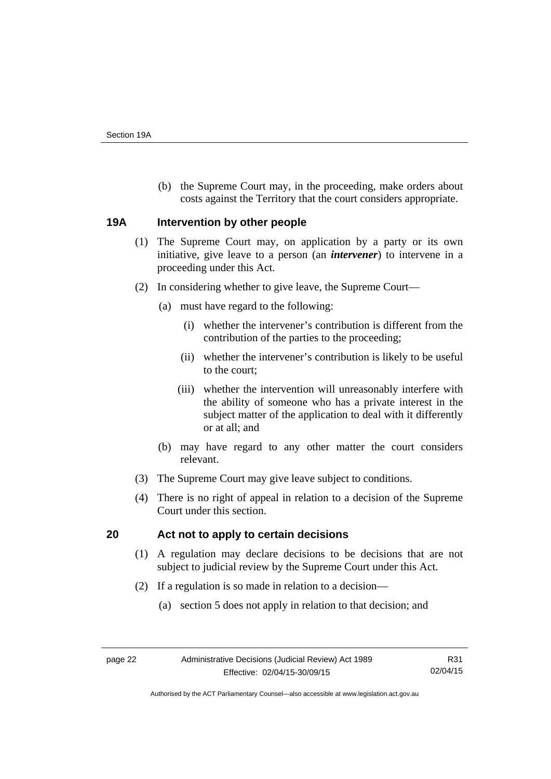(b) the Supreme Court may, in the proceeding, make orders about costs against the Territory that the court considers appropriate.

### <span id="page-25-0"></span>**19A Intervention by other people**

- (1) The Supreme Court may, on application by a party or its own initiative, give leave to a person (an *intervener*) to intervene in a proceeding under this Act.
- (2) In considering whether to give leave, the Supreme Court—
	- (a) must have regard to the following:
		- (i) whether the intervener's contribution is different from the contribution of the parties to the proceeding;
		- (ii) whether the intervener's contribution is likely to be useful to the court;
		- (iii) whether the intervention will unreasonably interfere with the ability of someone who has a private interest in the subject matter of the application to deal with it differently or at all; and
	- (b) may have regard to any other matter the court considers relevant.
- (3) The Supreme Court may give leave subject to conditions.
- (4) There is no right of appeal in relation to a decision of the Supreme Court under this section.

### <span id="page-25-1"></span>**20 Act not to apply to certain decisions**

- (1) A regulation may declare decisions to be decisions that are not subject to judicial review by the Supreme Court under this Act.
- (2) If a regulation is so made in relation to a decision—
	- (a) section 5 does not apply in relation to that decision; and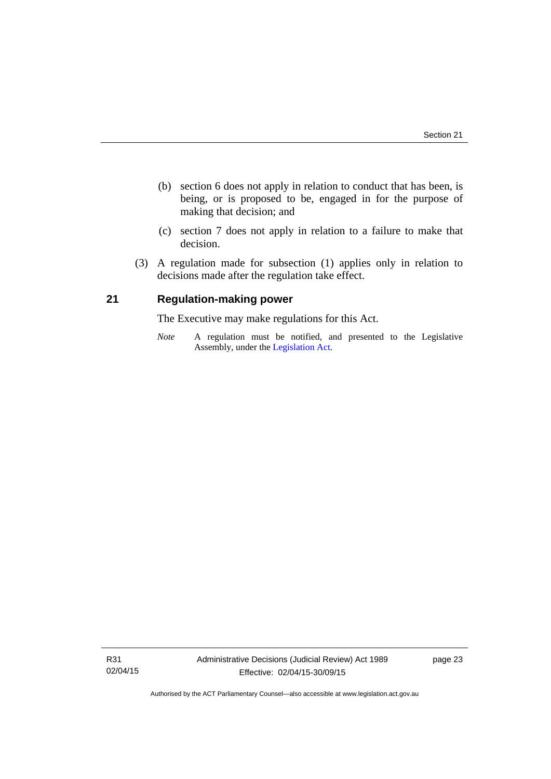- (b) section 6 does not apply in relation to conduct that has been, is being, or is proposed to be, engaged in for the purpose of making that decision; and
- (c) section 7 does not apply in relation to a failure to make that decision.
- (3) A regulation made for subsection (1) applies only in relation to decisions made after the regulation take effect.

### <span id="page-26-0"></span>**21 Regulation-making power**

The Executive may make regulations for this Act.

*Note* A regulation must be notified, and presented to the Legislative Assembly, under the [Legislation Act](http://www.legislation.act.gov.au/a/2001-14).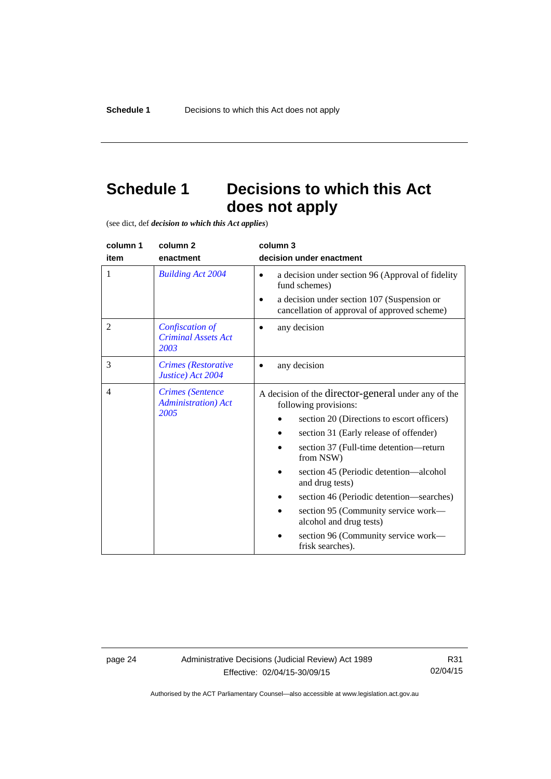# <span id="page-27-0"></span>**Schedule 1 Decisions to which this Act does not apply**

(see dict, def *decision to which this Act applies*)

| column 1       | column <sub>2</sub>                                            | column 3                                                                                                                                                                                                                                                                                 |
|----------------|----------------------------------------------------------------|------------------------------------------------------------------------------------------------------------------------------------------------------------------------------------------------------------------------------------------------------------------------------------------|
| item           | enactment                                                      | decision under enactment                                                                                                                                                                                                                                                                 |
| 1              | <b>Building Act 2004</b>                                       | a decision under section 96 (Approval of fidelity<br>$\bullet$<br>fund schemes)<br>a decision under section 107 (Suspension or<br>cancellation of approval of approved scheme)                                                                                                           |
| $\overline{2}$ | Confiscation of<br><b>Criminal Assets Act</b><br>2003          | any decision                                                                                                                                                                                                                                                                             |
| 3              | Crimes (Restorative<br>Justice) Act 2004                       | any decision                                                                                                                                                                                                                                                                             |
| $\overline{4}$ | <b>Crimes</b> (Sentence<br><b>Administration</b> ) Act<br>2005 | A decision of the director-general under any of the<br>following provisions:<br>section 20 (Directions to escort officers)<br>section 31 (Early release of offender)<br>section 37 (Full-time detention-return<br>from NSW)<br>section 45 (Periodic detention—alcohol<br>and drug tests) |
|                |                                                                | section 46 (Periodic detention—searches)<br>section 95 (Community service work—<br>alcohol and drug tests)<br>section 96 (Community service work—<br>frisk searches).                                                                                                                    |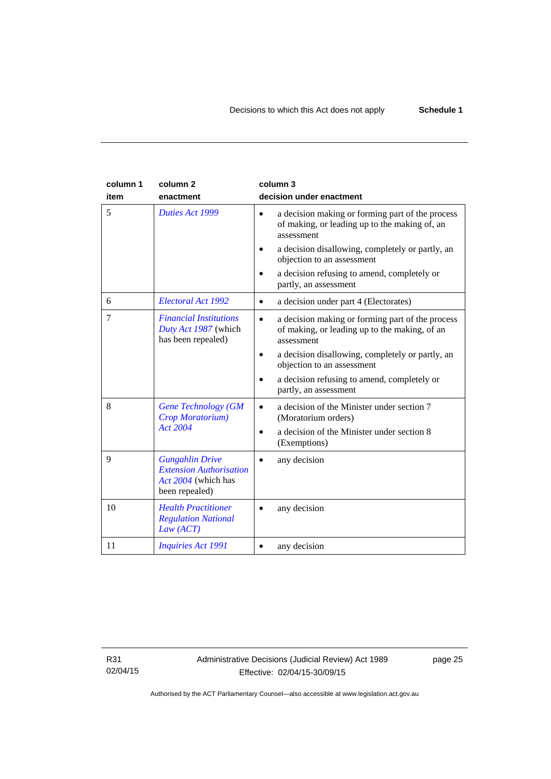| column 1<br>item | column <sub>2</sub><br>enactment                                                                  | column 3<br>decision under enactment                                                                                         |
|------------------|---------------------------------------------------------------------------------------------------|------------------------------------------------------------------------------------------------------------------------------|
| 5                | Duties Act 1999                                                                                   | a decision making or forming part of the process<br>$\bullet$<br>of making, or leading up to the making of, an<br>assessment |
|                  |                                                                                                   | a decision disallowing, completely or partly, an<br>objection to an assessment                                               |
|                  |                                                                                                   | a decision refusing to amend, completely or<br>partly, an assessment                                                         |
| 6                | Electoral Act 1992                                                                                | a decision under part 4 (Electorates)<br>$\bullet$                                                                           |
| 7                | <b>Financial Institutions</b><br>Duty Act 1987 (which<br>has been repealed)                       | a decision making or forming part of the process<br>$\bullet$<br>of making, or leading up to the making, of an<br>assessment |
|                  |                                                                                                   | a decision disallowing, completely or partly, an<br>$\bullet$<br>objection to an assessment                                  |
|                  |                                                                                                   | a decision refusing to amend, completely or<br>partly, an assessment                                                         |
| 8                | <b>Gene Technology (GM</b><br>Crop Moratorium)                                                    | a decision of the Minister under section 7<br>(Moratorium orders)                                                            |
|                  | Act 2004                                                                                          | a decision of the Minister under section 8<br>(Exemptions)                                                                   |
| 9                | <b>Gungahlin Drive</b><br><b>Extension Authorisation</b><br>Act 2004 (which has<br>been repealed) | any decision                                                                                                                 |
| 10               | <b>Health Practitioner</b><br><b>Regulation National</b><br>Law (ACT)                             | any decision                                                                                                                 |
| 11               | <b>Inquiries Act 1991</b>                                                                         | any decision                                                                                                                 |

R31 02/04/15 page 25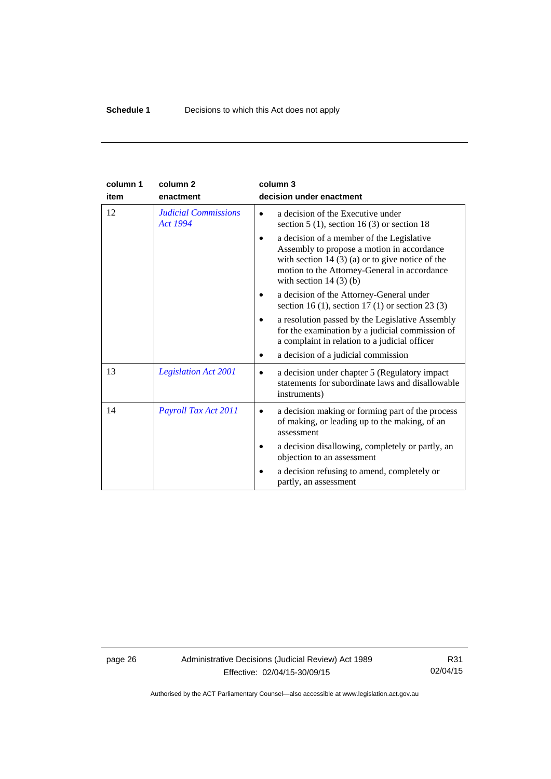| column 1 | column <sub>2</sub>                            | column 3                                                                                                                                                                                                               |
|----------|------------------------------------------------|------------------------------------------------------------------------------------------------------------------------------------------------------------------------------------------------------------------------|
| item     | enactment                                      | decision under enactment                                                                                                                                                                                               |
| 12       | <b>Judicial Commissions</b><br><b>Act 1994</b> | a decision of the Executive under<br>section $5(1)$ , section $16(3)$ or section 18                                                                                                                                    |
|          |                                                | a decision of a member of the Legislative<br>Assembly to propose a motion in accordance<br>with section $14(3)(a)$ or to give notice of the<br>motion to the Attorney-General in accordance<br>with section $14(3)(b)$ |
|          |                                                | a decision of the Attorney-General under<br>section 16 (1), section 17 (1) or section 23 (3)                                                                                                                           |
|          |                                                | a resolution passed by the Legislative Assembly<br>for the examination by a judicial commission of<br>a complaint in relation to a judicial officer                                                                    |
|          |                                                | a decision of a judicial commission                                                                                                                                                                                    |
| 13       | <b>Legislation Act 2001</b>                    | a decision under chapter 5 (Regulatory impact)<br>$\bullet$<br>statements for subordinate laws and disallowable<br>instruments)                                                                                        |
| 14       | Payroll Tax Act 2011                           | a decision making or forming part of the process<br>of making, or leading up to the making, of an<br>assessment                                                                                                        |
|          |                                                | a decision disallowing, completely or partly, an<br>objection to an assessment                                                                                                                                         |
|          |                                                | a decision refusing to amend, completely or<br>partly, an assessment                                                                                                                                                   |

page 26 Administrative Decisions (Judicial Review) Act 1989 Effective: 02/04/15-30/09/15

R31 02/04/15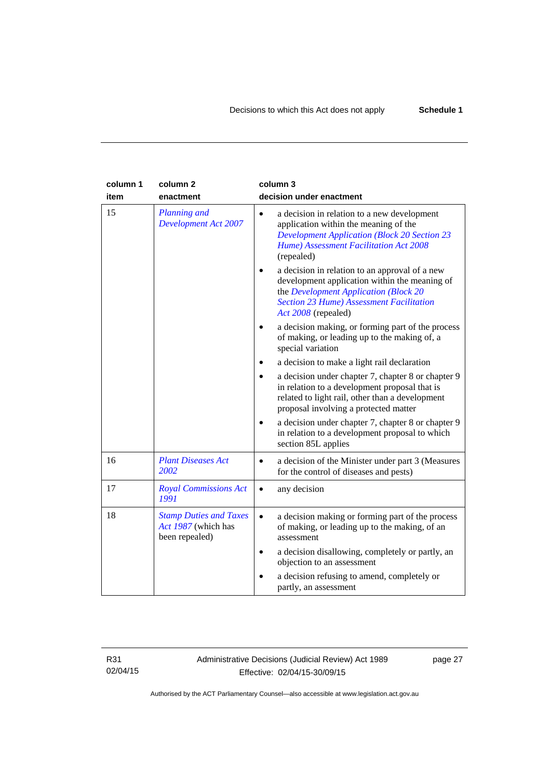| column 1<br>item | column <sub>2</sub><br>enactment                                       | column 3<br>decision under enactment                                                                                                                                                                               |
|------------------|------------------------------------------------------------------------|--------------------------------------------------------------------------------------------------------------------------------------------------------------------------------------------------------------------|
| 15               | <b>Planning and</b><br><b>Development Act 2007</b>                     | a decision in relation to a new development<br>$\bullet$<br>application within the meaning of the<br><b>Development Application (Block 20 Section 23</b><br>Hume) Assessment Facilitation Act 2008<br>(repealed)   |
|                  |                                                                        | a decision in relation to an approval of a new<br>development application within the meaning of<br>the Development Application (Block 20<br><b>Section 23 Hume) Assessment Facilitation</b><br>Act 2008 (repealed) |
|                  |                                                                        | a decision making, or forming part of the process<br>of making, or leading up to the making of, a<br>special variation                                                                                             |
|                  |                                                                        | a decision to make a light rail declaration                                                                                                                                                                        |
|                  |                                                                        | a decision under chapter 7, chapter 8 or chapter 9<br>in relation to a development proposal that is<br>related to light rail, other than a development<br>proposal involving a protected matter                    |
|                  |                                                                        | a decision under chapter 7, chapter 8 or chapter 9<br>in relation to a development proposal to which<br>section 85L applies                                                                                        |
| 16               | <b>Plant Diseases Act</b><br>2002                                      | a decision of the Minister under part 3 (Measures<br>$\bullet$<br>for the control of diseases and pests)                                                                                                           |
| 17               | <b>Royal Commissions Act</b><br>1991                                   | any decision<br>$\bullet$                                                                                                                                                                                          |
| 18               | <b>Stamp Duties and Taxes</b><br>Act 1987 (which has<br>been repealed) | a decision making or forming part of the process<br>$\bullet$<br>of making, or leading up to the making, of an<br>assessment                                                                                       |
|                  |                                                                        | a decision disallowing, completely or partly, an<br>$\bullet$<br>objection to an assessment                                                                                                                        |
|                  |                                                                        | a decision refusing to amend, completely or<br>partly, an assessment                                                                                                                                               |

R31 02/04/15 Administrative Decisions (Judicial Review) Act 1989 Effective: 02/04/15-30/09/15

page 27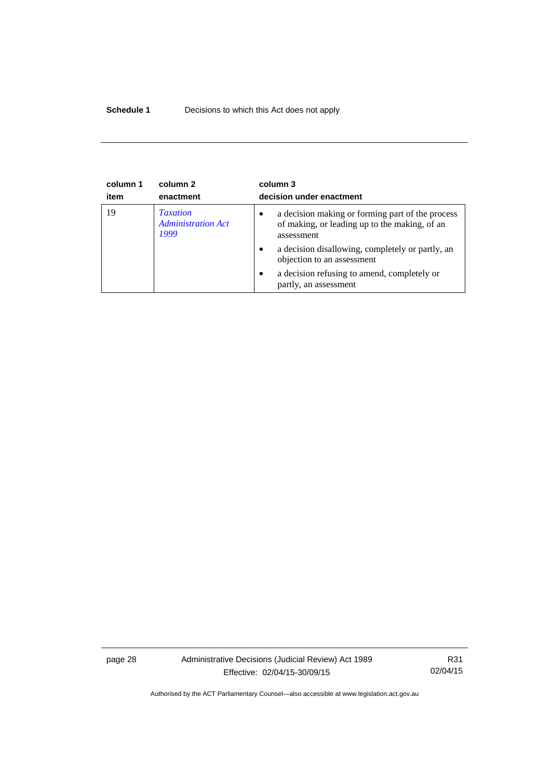### **Schedule 1** Decisions to which this Act does not apply

| column 1<br>item | column 2<br>enactment                                | column 3<br>decision under enactment                                                                                         |
|------------------|------------------------------------------------------|------------------------------------------------------------------------------------------------------------------------------|
| 19               | <b>Taxation</b><br><b>Administration Act</b><br>1999 | a decision making or forming part of the process<br>$\bullet$<br>of making, or leading up to the making, of an<br>assessment |
|                  |                                                      | a decision disallowing, completely or partly, an<br>$\bullet$<br>objection to an assessment                                  |
|                  |                                                      | a decision refusing to amend, completely or<br>$\bullet$<br>partly, an assessment                                            |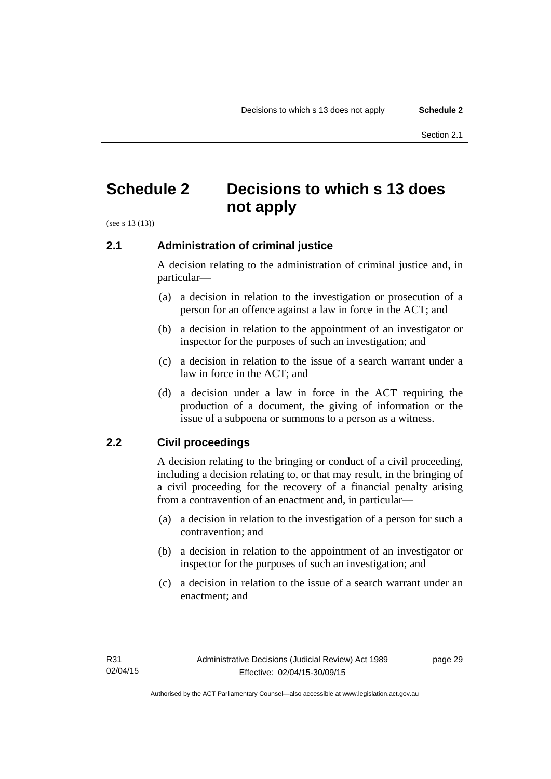## <span id="page-32-0"></span>**Schedule 2 Decisions to which s 13 does not apply**

(see s 13 (13))

### <span id="page-32-1"></span>**2.1 Administration of criminal justice**

A decision relating to the administration of criminal justice and, in particular—

- (a) a decision in relation to the investigation or prosecution of a person for an offence against a law in force in the ACT; and
- (b) a decision in relation to the appointment of an investigator or inspector for the purposes of such an investigation; and
- (c) a decision in relation to the issue of a search warrant under a law in force in the ACT; and
- (d) a decision under a law in force in the ACT requiring the production of a document, the giving of information or the issue of a subpoena or summons to a person as a witness.

### <span id="page-32-2"></span>**2.2 Civil proceedings**

A decision relating to the bringing or conduct of a civil proceeding, including a decision relating to, or that may result, in the bringing of a civil proceeding for the recovery of a financial penalty arising from a contravention of an enactment and, in particular—

- (a) a decision in relation to the investigation of a person for such a contravention; and
- (b) a decision in relation to the appointment of an investigator or inspector for the purposes of such an investigation; and
- (c) a decision in relation to the issue of a search warrant under an enactment; and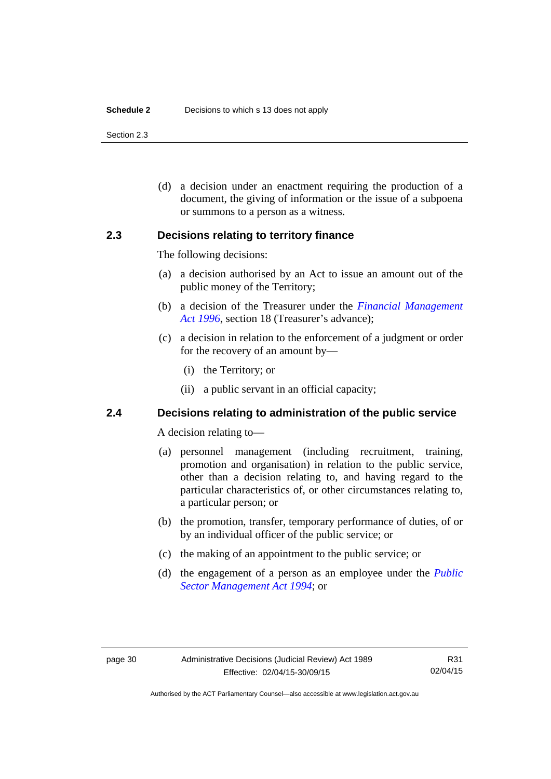#### **Schedule 2** Decisions to which s 13 does not apply

Section 2.3

 (d) a decision under an enactment requiring the production of a document, the giving of information or the issue of a subpoena or summons to a person as a witness.

### <span id="page-33-0"></span>**2.3 Decisions relating to territory finance**

The following decisions:

- (a) a decision authorised by an Act to issue an amount out of the public money of the Territory;
- (b) a decision of the Treasurer under the *[Financial Management](http://www.legislation.act.gov.au/a/1996-22)*  [Act 1996](http://www.legislation.act.gov.au/a/1996-22), section 18 (Treasurer's advance);
- (c) a decision in relation to the enforcement of a judgment or order for the recovery of an amount by—
	- (i) the Territory; or
	- (ii) a public servant in an official capacity;

### <span id="page-33-1"></span>**2.4 Decisions relating to administration of the public service**

A decision relating to—

- (a) personnel management (including recruitment, training, promotion and organisation) in relation to the public service, other than a decision relating to, and having regard to the particular characteristics of, or other circumstances relating to, a particular person; or
- (b) the promotion, transfer, temporary performance of duties, of or by an individual officer of the public service; or
- (c) the making of an appointment to the public service; or
- (d) the engagement of a person as an employee under the *[Public](http://www.legislation.act.gov.au/a/1994-37)  [Sector Management Act 1994](http://www.legislation.act.gov.au/a/1994-37)*; or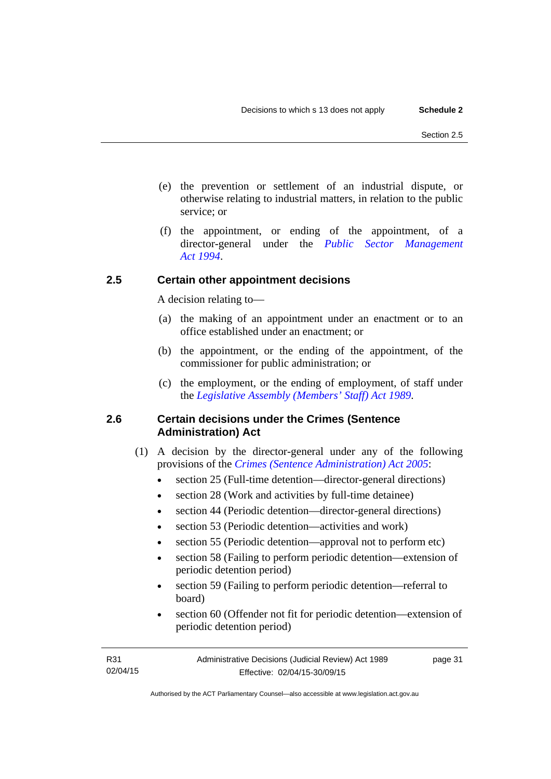- (e) the prevention or settlement of an industrial dispute, or otherwise relating to industrial matters, in relation to the public service; or
- (f) the appointment, or ending of the appointment, of a director-general under the *[Public Sector Management](http://www.legislation.act.gov.au/a/1994-37)  [Act 1994](http://www.legislation.act.gov.au/a/1994-37)*.

### <span id="page-34-0"></span>**2.5 Certain other appointment decisions**

A decision relating to—

- (a) the making of an appointment under an enactment or to an office established under an enactment; or
- (b) the appointment, or the ending of the appointment, of the commissioner for public administration; or
- (c) the employment, or the ending of employment, of staff under the *[Legislative Assembly \(Members' Staff\) Act 1989](http://www.legislation.act.gov.au/a/1989-19)*.

### <span id="page-34-1"></span>**2.6 Certain decisions under the Crimes (Sentence Administration) Act**

- (1) A decision by the director-general under any of the following provisions of the *[Crimes \(Sentence Administration\) Act 2005](http://www.legislation.act.gov.au/a/2005-59)*:
	- section 25 (Full-time detention—director-general directions)
	- section 28 (Work and activities by full-time detainee)
	- section 44 (Periodic detention—director-general directions)
	- section 53 (Periodic detention—activities and work)
	- section 55 (Periodic detention—approval not to perform etc)
	- section 58 (Failing to perform periodic detention—extension of periodic detention period)
	- section 59 (Failing to perform periodic detention—referral to board)
	- section 60 (Offender not fit for periodic detention—extension of periodic detention period)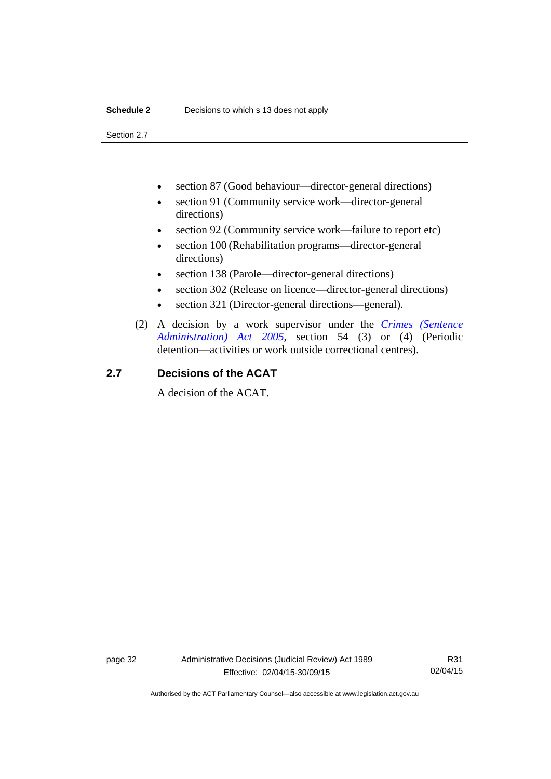Section 2.7

- section 87 (Good behaviour—director-general directions)
- section 91 (Community service work—director-general directions)
- section 92 (Community service work—failure to report etc)
- section 100 (Rehabilitation programs—director-general directions)
- section 138 (Parole—director-general directions)
- section 302 (Release on licence—director-general directions)
- section 321 (Director-general directions—general).
- (2) A decision by a work supervisor under the *[Crimes \(Sentence](http://www.legislation.act.gov.au/a/2005-59)  [Administration\) Act 2005](http://www.legislation.act.gov.au/a/2005-59)*, section 54 (3) or (4) (Periodic detention—activities or work outside correctional centres).

### <span id="page-35-0"></span>**2.7 Decisions of the ACAT**

A decision of the ACAT.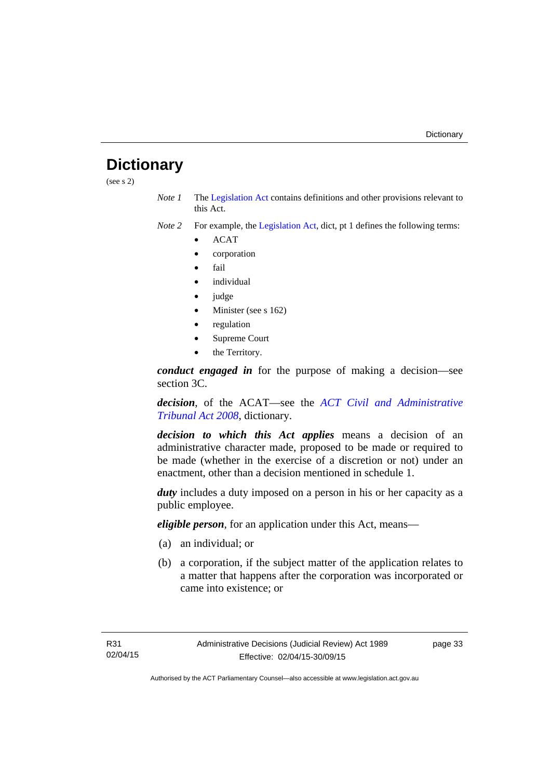# <span id="page-36-0"></span>**Dictionary**

(see s 2)

*Note 1* The [Legislation Act](http://www.legislation.act.gov.au/a/2001-14) contains definitions and other provisions relevant to this Act.

*Note 2* For example, the [Legislation Act,](http://www.legislation.act.gov.au/a/2001-14) dict, pt 1 defines the following terms:

- ACAT
- corporation
- fail
- *individual*
- judge
- Minister (see s 162)
- regulation
- Supreme Court
- the Territory.

*conduct engaged in* for the purpose of making a decision—see section 3C.

*decision*, of the ACAT—see the *[ACT Civil and Administrative](http://www.legislation.act.gov.au/a/2008-35)  [Tribunal Act 2008](http://www.legislation.act.gov.au/a/2008-35)*, dictionary.

*decision to which this Act applies* means a decision of an administrative character made, proposed to be made or required to be made (whether in the exercise of a discretion or not) under an enactment, other than a decision mentioned in schedule 1.

*duty* includes a duty imposed on a person in his or her capacity as a public employee.

*eligible person*, for an application under this Act, means—

- (a) an individual; or
- (b) a corporation, if the subject matter of the application relates to a matter that happens after the corporation was incorporated or came into existence; or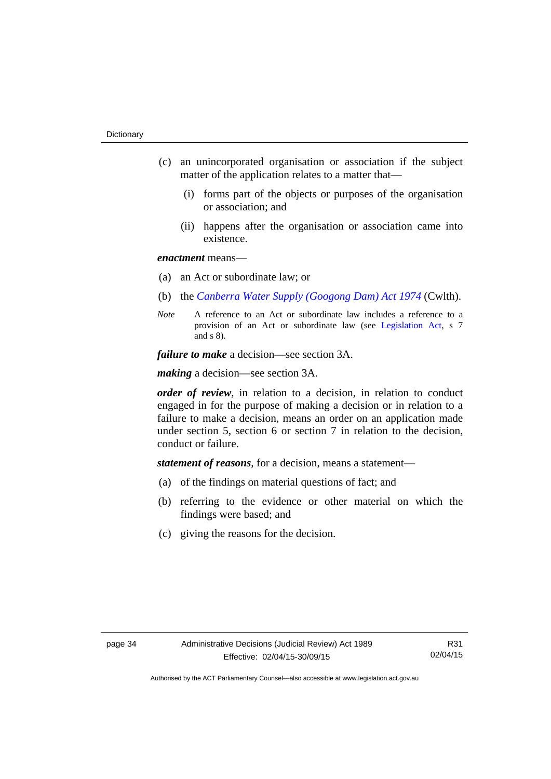- (c) an unincorporated organisation or association if the subject matter of the application relates to a matter that—
	- (i) forms part of the objects or purposes of the organisation or association; and
	- (ii) happens after the organisation or association came into existence.

### *enactment* means—

- (a) an Act or subordinate law; or
- (b) the *[Canberra Water Supply \(Googong Dam\) Act 1974](http://www.comlaw.gov.au/Details/C2008C00317)* (Cwlth).
- *Note* A reference to an Act or subordinate law includes a reference to a provision of an Act or subordinate law (see [Legislation Act](http://www.legislation.act.gov.au/a/2001-14), s 7 and s 8).

*failure to make* a decision—see section 3A.

*making* a decision—see section 3A.

*order of review*, in relation to a decision, in relation to conduct engaged in for the purpose of making a decision or in relation to a failure to make a decision, means an order on an application made under section 5, section 6 or section 7 in relation to the decision, conduct or failure.

*statement of reasons*, for a decision, means a statement—

- (a) of the findings on material questions of fact; and
- (b) referring to the evidence or other material on which the findings were based; and
- (c) giving the reasons for the decision.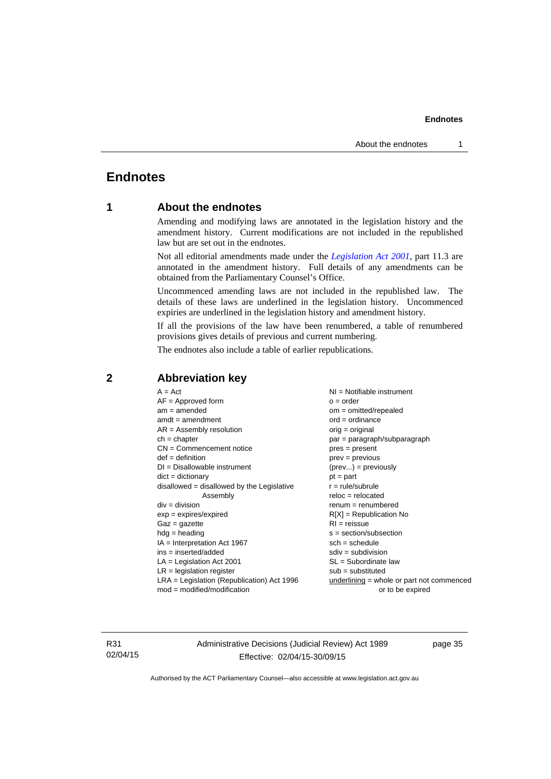### <span id="page-38-0"></span>**Endnotes**

### **1 About the endnotes**

Amending and modifying laws are annotated in the legislation history and the amendment history. Current modifications are not included in the republished law but are set out in the endnotes.

Not all editorial amendments made under the *[Legislation Act 2001](http://www.legislation.act.gov.au/a/2001-14)*, part 11.3 are annotated in the amendment history. Full details of any amendments can be obtained from the Parliamentary Counsel's Office.

Uncommenced amending laws are not included in the republished law. The details of these laws are underlined in the legislation history. Uncommenced expiries are underlined in the legislation history and amendment history.

If all the provisions of the law have been renumbered, a table of renumbered provisions gives details of previous and current numbering.

The endnotes also include a table of earlier republications.

| $A = Act$                                    | NI = Notifiable instrument                  |
|----------------------------------------------|---------------------------------------------|
| $AF =$ Approved form                         | $o = order$                                 |
| $am = amended$                               | om = omitted/repealed                       |
| $amdt = amendment$                           | $ord = ordinance$                           |
| $AR = Assembly resolution$                   | orig = original                             |
| $ch = chapter$                               | par = paragraph/subparagraph                |
| $CN =$ Commencement notice                   | $pres = present$                            |
| $def = definition$                           | $prev = previous$                           |
| $DI = Disallowable instrument$               | $(\text{prev}) = \text{previously}$         |
| $dict = dictionary$                          | $pt = part$                                 |
| $disallowed = disallowed by the Legislative$ | $r = rule/subrule$                          |
| Assembly                                     | $reloc = relocated$                         |
| $div = division$                             | $renum = renumbered$                        |
| $exp = expires/expired$                      | $R[X]$ = Republication No                   |
| $Gaz = gazette$                              | $RI =$ reissue                              |
| $hdg =$ heading                              | s = section/subsection                      |
| $IA = Interpretation Act 1967$               | $sch = schedule$                            |
| $ins = inserted/added$                       | $sdiv = subdivision$                        |
| $LA =$ Legislation Act 2001                  | $SL = Subordinate$ law                      |
| $LR =$ legislation register                  | $sub =$ substituted                         |
| $LRA =$ Legislation (Republication) Act 1996 | $underlining = whole or part not commenced$ |
| $mod = modified/modification$                | or to be expired                            |
|                                              |                                             |

### <span id="page-38-2"></span>**2 Abbreviation key**

R31 02/04/15 Administrative Decisions (Judicial Review) Act 1989 Effective: 02/04/15-30/09/15

page 35

<span id="page-38-1"></span>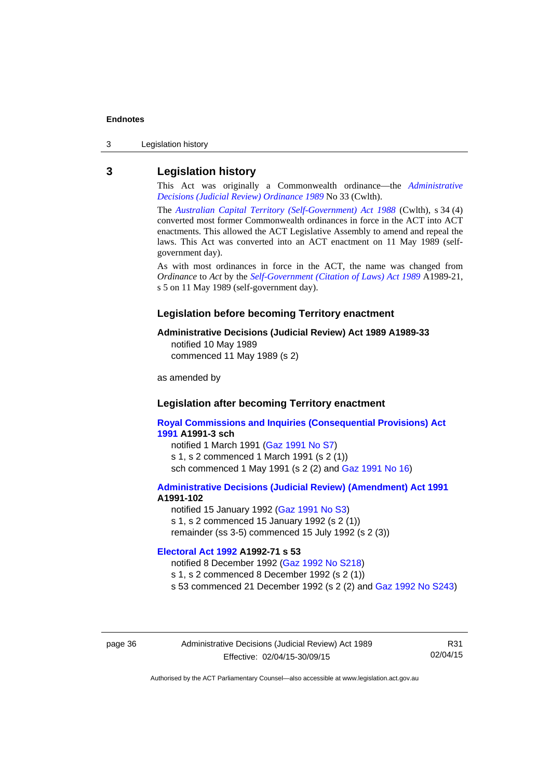3 Legislation history

### <span id="page-39-0"></span>**3 Legislation history**

This Act was originally a Commonwealth ordinance—the *[Administrative](http://www.legislation.act.gov.au/a/alt_a1989-33co)  [Decisions \(Judicial Review\) Ordinance 1989](http://www.legislation.act.gov.au/a/alt_a1989-33co)* No 33 (Cwlth).

The *[Australian Capital Territory \(Self-Government\) Act 1988](http://www.comlaw.gov.au/Current/C2004A03699)* (Cwlth), s 34 (4) converted most former Commonwealth ordinances in force in the ACT into ACT enactments. This allowed the ACT Legislative Assembly to amend and repeal the laws. This Act was converted into an ACT enactment on 11 May 1989 (selfgovernment day).

As with most ordinances in force in the ACT, the name was changed from *Ordinance* to *Act* by the *[Self-Government \(Citation of Laws\) Act 1989](http://www.legislation.act.gov.au/a/alt_ord1989-21/default.asp)* A1989-21, s 5 on 11 May 1989 (self-government day).

#### **Legislation before becoming Territory enactment**

#### **Administrative Decisions (Judicial Review) Act 1989 A1989-33**

notified 10 May 1989 commenced 11 May 1989 (s 2)

as amended by

### **Legislation after becoming Territory enactment**

**[Royal Commissions and Inquiries \(Consequential Provisions\) Act](http://www.legislation.act.gov.au/a/1991-3)  [1991](http://www.legislation.act.gov.au/a/1991-3) A1991-3 sch**  notified 1 March 1991 [\(Gaz 1991 No S7](http://www.legislation.act.gov.au/gaz/1991-S7/default.asp)) s 1, s 2 commenced 1 March 1991 (s 2 (1))

sch commenced 1 May 1991 (s 2 (2) and [Gaz 1991 No 16](http://www.legislation.act.gov.au/gaz/1991-16/default.asp))

#### **[Administrative Decisions \(Judicial Review\) \(Amendment\) Act 1991](http://www.legislation.act.gov.au/a/1991-102) A1991-102**

notified 15 January 1992 ([Gaz 1991 No S3\)](http://www.legislation.act.gov.au/gaz/1991-S3/default.asp) s 1, s 2 commenced 15 January 1992 (s 2 (1)) remainder (ss 3-5) commenced 15 July 1992 (s 2 (3))

### **[Electoral Act 1992](http://www.legislation.act.gov.au/a/1992-71) A1992-71 s 53**

notified 8 December 1992 ([Gaz 1992 No S218\)](http://www.legislation.act.gov.au/gaz/1992-S218/default.asp) s 1, s 2 commenced 8 December 1992 (s 2 (1)) s 53 commenced 21 December 1992 (s 2 (2) and [Gaz 1992 No S243\)](http://www.legislation.act.gov.au/gaz/1992-S243/default.asp)

page 36 Administrative Decisions (Judicial Review) Act 1989 Effective: 02/04/15-30/09/15

R31 02/04/15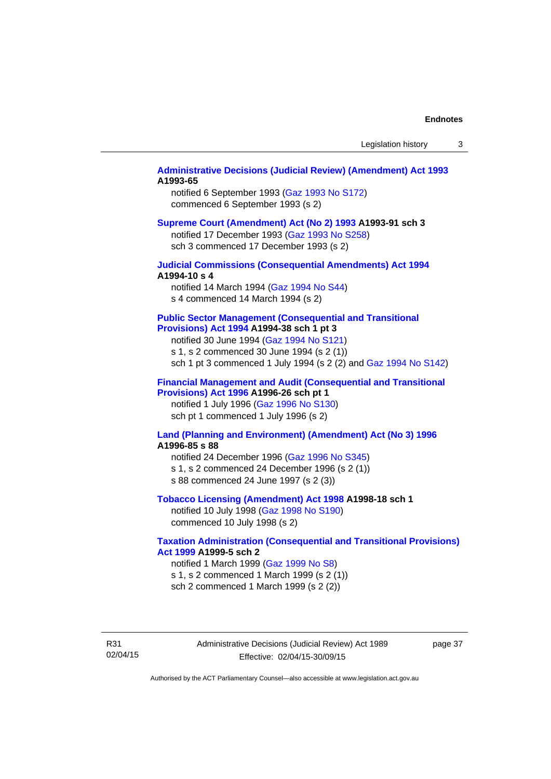### **[Administrative Decisions \(Judicial Review\) \(Amendment\) Act 1993](http://www.legislation.act.gov.au/a/1993-65) A1993-65**

notified 6 September 1993 [\(Gaz 1993 No S172\)](http://www.legislation.act.gov.au/gaz/1993-S172/default.asp) commenced 6 September 1993 (s 2)

#### **[Supreme Court \(Amendment\) Act \(No 2\) 1993](http://www.legislation.act.gov.au/a/1993-91) A1993-91 sch 3**

notified 17 December 1993 [\(Gaz 1993 No S258](http://www.legislation.act.gov.au/gaz/1993-S258/default.asp)) sch 3 commenced 17 December 1993 (s 2)

### **[Judicial Commissions \(Consequential Amendments\) Act 1994](http://www.legislation.act.gov.au/a/1994-10) A1994-10 s 4**

notified 14 March 1994 ([Gaz 1994 No S44](http://www.legislation.act.gov.au/gaz/1994-S44/default.asp)) s 4 commenced 14 March 1994 (s 2)

#### **[Public Sector Management \(Consequential and Transitional](http://www.legislation.act.gov.au/a/1994-38)  [Provisions\) Act 1994](http://www.legislation.act.gov.au/a/1994-38) A1994-38 sch 1 pt 3**

notified 30 June 1994 ([Gaz 1994 No S121\)](http://www.legislation.act.gov.au/gaz/1994-S121/default.asp) s 1, s 2 commenced 30 June 1994 (s 2 (1))

sch 1 pt 3 commenced 1 July 1994 (s 2 (2) and [Gaz 1994 No S142](http://www.legislation.act.gov.au/gaz/1994-S142/default.asp))

### **[Financial Management and Audit \(Consequential and Transitional](http://www.legislation.act.gov.au/a/1996-26)  [Provisions\) Act 1996](http://www.legislation.act.gov.au/a/1996-26) A1996-26 sch pt 1**

notified 1 July 1996 [\(Gaz 1996 No S130](http://www.legislation.act.gov.au/gaz/1996-S130/default.asp)) sch pt 1 commenced 1 July 1996 (s 2)

### **[Land \(Planning and Environment\) \(Amendment\) Act \(No 3\) 1996](http://www.legislation.act.gov.au/a/1996-85) A1996-85 s 88**

notified 24 December 1996 [\(Gaz 1996 No S345](http://www.legislation.act.gov.au/gaz/1996-S345/default.asp)) s 1, s 2 commenced 24 December 1996 (s 2 (1)) s 88 commenced 24 June 1997 (s 2 (3))

#### **[Tobacco Licensing \(Amendment\) Act 1998](http://www.legislation.act.gov.au/a/1998-18) A1998-18 sch 1**

notified 10 July 1998 ([Gaz 1998 No S190\)](http://www.legislation.act.gov.au/gaz/1998-S190/default.asp) commenced 10 July 1998 (s 2)

### **[Taxation Administration \(Consequential and Transitional Provisions\)](http://www.legislation.act.gov.au/a/1999-5)  [Act 1999](http://www.legislation.act.gov.au/a/1999-5) A1999-5 sch 2**

notified 1 March 1999 [\(Gaz 1999 No S8](http://www.legislation.act.gov.au/gaz/1999-S8/default.asp)) s 1, s 2 commenced 1 March 1999 (s 2 (1)) sch 2 commenced 1 March 1999 (s 2 (2))

R31 02/04/15 Administrative Decisions (Judicial Review) Act 1989 Effective: 02/04/15-30/09/15

page 37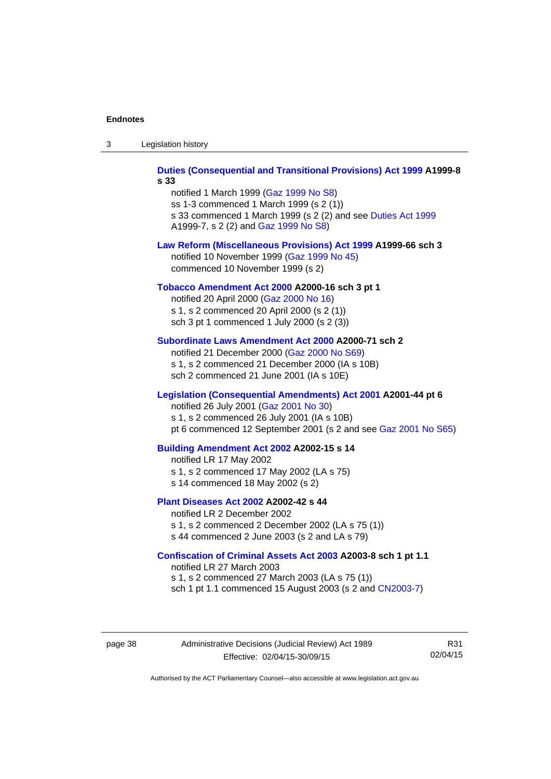| -3 | Legislation history |  |
|----|---------------------|--|
|----|---------------------|--|

**[Duties \(Consequential and Transitional Provisions\) Act 1999](http://www.legislation.act.gov.au/a/1999-8) A1999-8 s 33** 

notified 1 March 1999 [\(Gaz 1999 No S8](http://www.legislation.act.gov.au/gaz/1999-S8/default.asp)) ss 1-3 commenced 1 March 1999 (s 2 (1)) s 33 commenced 1 March 1999 (s 2 (2) and see [Duties Act 1999](http://www.legislation.act.gov.au/a/1999-7) A1999-7, s 2 (2) and [Gaz 1999 No S8\)](http://www.legislation.act.gov.au/gaz/1999-S8/default.asp)

#### **[Law Reform \(Miscellaneous Provisions\) Act 1999](http://www.legislation.act.gov.au/a/1999-66) A1999-66 sch 3**  notified 10 November 1999 [\(Gaz 1999 No 45](http://www.legislation.act.gov.au/gaz/1999-45/default.asp))

commenced 10 November 1999 (s 2)

### **[Tobacco Amendment Act 2000](http://www.legislation.act.gov.au/a/2000-16) A2000-16 sch 3 pt 1**

notified 20 April 2000 [\(Gaz 2000 No 16\)](http://www.legislation.act.gov.au/gaz/2000-16/default.asp) s 1, s 2 commenced 20 April 2000 (s 2 (1)) sch 3 pt 1 commenced 1 July 2000 (s 2 (3))

#### **[Subordinate Laws Amendment Act 2000](http://www.legislation.act.gov.au/a/2000-71) A2000-71 sch 2**

notified 21 December 2000 [\(Gaz 2000 No S69\)](http://www.legislation.act.gov.au/gaz/2000-S69/default.asp) s 1, s 2 commenced 21 December 2000 (IA s 10B) sch 2 commenced 21 June 2001 (IA s 10E)

#### **[Legislation \(Consequential Amendments\) Act 2001](http://www.legislation.act.gov.au/a/2001-44) A2001-44 pt 6**

notified 26 July 2001 ([Gaz 2001 No 30\)](http://www.legislation.act.gov.au/gaz/2001-30/default.asp)

s 1, s 2 commenced 26 July 2001 (IA s 10B)

pt 6 commenced 12 September 2001 (s 2 and see [Gaz 2001 No S65\)](http://www.legislation.act.gov.au/gaz/2001-S65/default.asp)

#### **[Building Amendment Act 2002](http://www.legislation.act.gov.au/a/2002-15) A2002-15 s 14**

notified LR 17 May 2002

- s 1, s 2 commenced 17 May 2002 (LA s 75)
- s 14 commenced 18 May 2002 (s 2)

### **[Plant Diseases Act 2002](http://www.legislation.act.gov.au/a/2002-42) A2002-42 s 44**

notified LR 2 December 2002 s 1, s 2 commenced 2 December 2002 (LA s 75 (1)) s 44 commenced 2 June 2003 (s 2 and LA s 79)

**[Confiscation of Criminal Assets Act 2003](http://www.legislation.act.gov.au/a/2003-8) A2003-8 sch 1 pt 1.1** 

notified LR 27 March 2003 s 1, s 2 commenced 27 March 2003 (LA s 75 (1)) sch 1 pt 1.1 commenced 15 August 2003 (s 2 and [CN2003-7](http://www.legislation.act.gov.au/cn/2003-7/default.asp))

page 38 Administrative Decisions (Judicial Review) Act 1989 Effective: 02/04/15-30/09/15

R31 02/04/15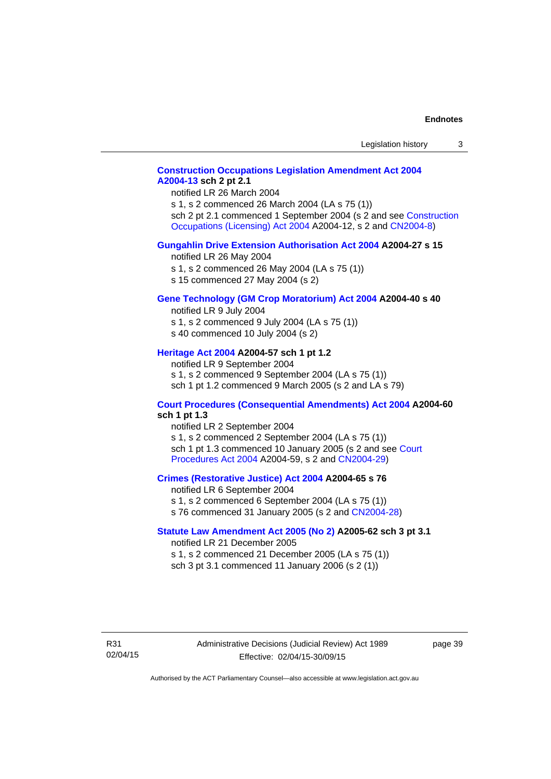### **[Construction Occupations Legislation Amendment Act 2004](http://www.legislation.act.gov.au/a/2004-13)  [A2004-13](http://www.legislation.act.gov.au/a/2004-13) sch 2 pt 2.1**

notified LR 26 March 2004

s 1, s 2 commenced 26 March 2004 (LA s 75 (1)) sch 2 pt 2.1 commenced 1 September 2004 (s 2 and see [Construction](http://www.legislation.act.gov.au/a/2004-12)  [Occupations \(Licensing\) Act 2004](http://www.legislation.act.gov.au/a/2004-12) A2004-12, s 2 and [CN2004-8\)](http://www.legislation.act.gov.au/cn/2004-8/default.asp)

### **[Gungahlin Drive Extension Authorisation Act 2004](http://www.legislation.act.gov.au/a/2004-27) A2004-27 s 15**

notified LR 26 May 2004

- s 1, s 2 commenced 26 May 2004 (LA s 75 (1))
- s 15 commenced 27 May 2004 (s 2)

### **[Gene Technology \(GM Crop Moratorium\) Act 2004](http://www.legislation.act.gov.au/a/2004-40) A2004-40 s 40**

notified LR 9 July 2004

- s 1, s 2 commenced 9 July 2004 (LA s 75 (1)) s 40 commenced 10 July 2004 (s 2)
- 

### **[Heritage Act 2004](http://www.legislation.act.gov.au/a/2004-57) A2004-57 sch 1 pt 1.2**

notified LR 9 September 2004 s 1, s 2 commenced 9 September 2004 (LA s 75 (1)) sch 1 pt 1.2 commenced 9 March 2005 (s 2 and LA s 79)

### **[Court Procedures \(Consequential Amendments\) Act 2004](http://www.legislation.act.gov.au/a/2004-60) A2004-60 sch 1 pt 1.3**

notified LR 2 September 2004 s 1, s 2 commenced 2 September 2004 (LA s 75 (1)) sch 1 pt 1.3 commenced 10 January 2005 (s 2 and see [Court](http://www.legislation.act.gov.au/a/2004-59)  [Procedures Act 2004](http://www.legislation.act.gov.au/a/2004-59) A2004-59, s 2 and [CN2004-29\)](http://www.legislation.act.gov.au/cn/2004-29/default.asp)

#### **[Crimes \(Restorative Justice\) Act 2004](http://www.legislation.act.gov.au/a/2004-65) A2004-65 s 76**

notified LR 6 September 2004 s 1, s 2 commenced 6 September 2004 (LA s 75 (1)) s 76 commenced 31 January 2005 (s 2 and [CN2004-28](http://www.legislation.act.gov.au/cn/2004-28/default.asp))

### **[Statute Law Amendment Act 2005 \(No 2\)](http://www.legislation.act.gov.au/a/2005-62) A2005-62 sch 3 pt 3.1**

notified LR 21 December 2005 s 1, s 2 commenced 21 December 2005 (LA s 75 (1)) sch 3 pt 3.1 commenced 11 January 2006 (s 2 (1))

R31 02/04/15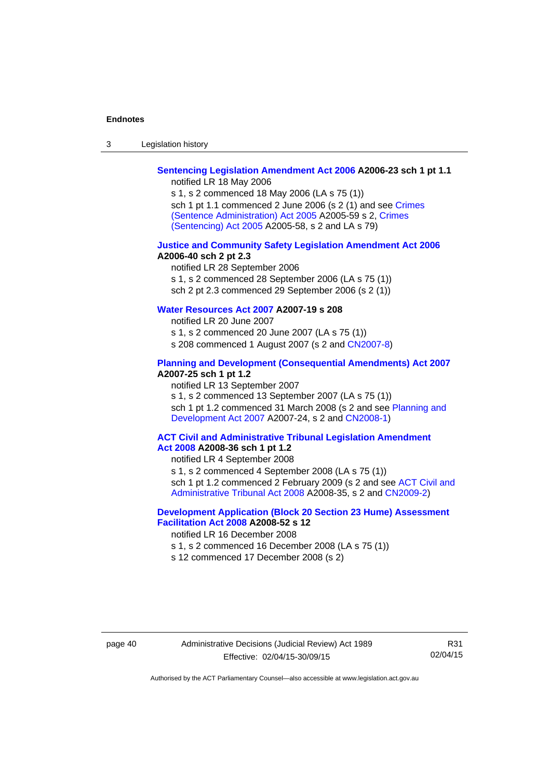| $\sqrt{2}$<br>- 3 | Legislation history |  |
|-------------------|---------------------|--|
|-------------------|---------------------|--|

## **[Sentencing Legislation Amendment Act 2006](http://www.legislation.act.gov.au/a/2006-23) A2006-23 sch 1 pt 1.1**

notified LR 18 May 2006

s 1, s 2 commenced 18 May 2006 (LA s 75 (1)) sch 1 pt 1.1 commenced 2 June 2006 (s 2 (1) and see [Crimes](http://www.legislation.act.gov.au/a/2005-59)  [\(Sentence Administration\) Act 2005](http://www.legislation.act.gov.au/a/2005-59) A2005-59 s 2, [Crimes](http://www.legislation.act.gov.au/a/2005-58)  [\(Sentencing\) Act 2005](http://www.legislation.act.gov.au/a/2005-58) A2005-58, s 2 and LA s 79)

#### **[Justice and Community Safety Legislation Amendment Act 2006](http://www.legislation.act.gov.au/a/2006-40) A2006-40 sch 2 pt 2.3**

notified LR 28 September 2006 s 1, s 2 commenced 28 September 2006 (LA s 75 (1)) sch 2 pt 2.3 commenced 29 September 2006 (s 2 (1))

### **[Water Resources Act 2007](http://www.legislation.act.gov.au/a/2007-19) A2007-19 s 208**

notified LR 20 June 2007 s 1, s 2 commenced 20 June 2007 (LA s 75 (1)) s 208 commenced 1 August 2007 (s 2 and [CN2007-8](http://www.legislation.act.gov.au/cn/2007-8/default.asp))

### **[Planning and Development \(Consequential Amendments\) Act 2007](http://www.legislation.act.gov.au/a/2007-25) A2007-25 sch 1 pt 1.2**

notified LR 13 September 2007

s 1, s 2 commenced 13 September 2007 (LA s 75 (1)) sch 1 pt 1.2 commenced 31 March 2008 (s 2 and see Planning and [Development Act 2007](http://www.legislation.act.gov.au/a/2007-24) A2007-24, s 2 and [CN2008-1](http://www.legislation.act.gov.au/cn/2008-1/default.asp))

#### **[ACT Civil and Administrative Tribunal Legislation Amendment](http://www.legislation.act.gov.au/a/2008-36)  [Act 2008](http://www.legislation.act.gov.au/a/2008-36) A2008-36 sch 1 pt 1.2**

notified LR 4 September 2008

s 1, s 2 commenced 4 September 2008 (LA s 75 (1))

sch 1 pt 1.2 commenced 2 February 2009 (s 2 and see [ACT Civil and](http://www.legislation.act.gov.au/a/2008-35)  [Administrative Tribunal Act 2008](http://www.legislation.act.gov.au/a/2008-35) A2008-35, s 2 and [CN2009-2\)](http://www.legislation.act.gov.au/cn/2009-2/default.asp)

### **[Development Application \(Block 20 Section 23 Hume\) Assessment](http://www.legislation.act.gov.au/a/2008-52)  [Facilitation Act 2008](http://www.legislation.act.gov.au/a/2008-52) A2008-52 s 12**

notified LR 16 December 2008

s 1, s 2 commenced 16 December 2008 (LA s 75 (1))

s 12 commenced 17 December 2008 (s 2)

R31 02/04/15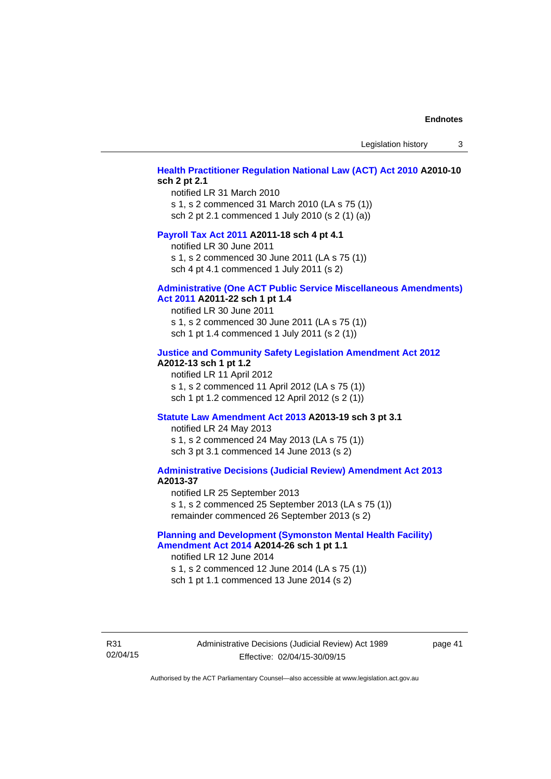Legislation history 3

### **[Health Practitioner Regulation National Law \(ACT\) Act 2010](http://www.legislation.act.gov.au/a/2010-10) A2010-10 sch 2 pt 2.1**

notified LR 31 March 2010 s 1, s 2 commenced 31 March 2010 (LA s 75 (1)) sch 2 pt 2.1 commenced 1 July 2010 (s 2 (1) (a))

### **[Payroll Tax Act 2011](http://www.legislation.act.gov.au/a/2011-18) A2011-18 sch 4 pt 4.1**

notified LR 30 June 2011 s 1, s 2 commenced 30 June 2011 (LA s 75 (1)) sch 4 pt 4.1 commenced 1 July 2011 (s 2)

#### **[Administrative \(One ACT Public Service Miscellaneous Amendments\)](http://www.legislation.act.gov.au/a/2011-22)**

#### **[Act 2011](http://www.legislation.act.gov.au/a/2011-22) A2011-22 sch 1 pt 1.4**

notified LR 30 June 2011 s 1, s 2 commenced 30 June 2011 (LA s 75 (1)) sch 1 pt 1.4 commenced 1 July 2011 (s 2 (1))

### **[Justice and Community Safety Legislation Amendment Act 2012](http://www.legislation.act.gov.au/a/2012-13)**

### **A2012-13 sch 1 pt 1.2**

notified LR 11 April 2012 s 1, s 2 commenced 11 April 2012 (LA s 75 (1)) sch 1 pt 1.2 commenced 12 April 2012 (s 2 (1))

#### **[Statute Law Amendment Act 2013](http://www.legislation.act.gov.au/a/2013-19) A2013-19 sch 3 pt 3.1**

notified LR 24 May 2013 s 1, s 2 commenced 24 May 2013 (LA s 75 (1)) sch 3 pt 3.1 commenced 14 June 2013 (s 2)

### **[Administrative Decisions \(Judicial Review\) Amendment Act 2013](http://www.legislation.act.gov.au/a/2013-37) A2013-37**

notified LR 25 September 2013 s 1, s 2 commenced 25 September 2013 (LA s 75 (1)) remainder commenced 26 September 2013 (s 2)

### **[Planning and Development \(Symonston Mental Health Facility\)](http://www.legislation.act.gov.au/a/2014-26)  [Amendment Act 2014](http://www.legislation.act.gov.au/a/2014-26) A2014-26 sch 1 pt 1.1**

notified LR 12 June 2014 s 1, s 2 commenced 12 June 2014 (LA s 75 (1)) sch 1 pt 1.1 commenced 13 June 2014 (s 2)

R31 02/04/15 Administrative Decisions (Judicial Review) Act 1989 Effective: 02/04/15-30/09/15

page 41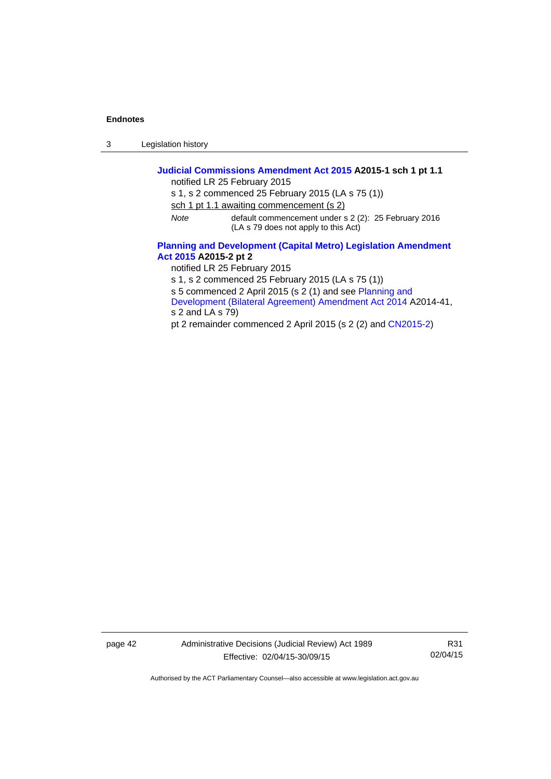3 Legislation history

### **[Judicial Commissions Amendment Act 2015](http://www.legislation.act.gov.au/a/2015-1) A2015-1 sch 1 pt 1.1**  notified LR 25 February 2015 s 1, s 2 commenced 25 February 2015 (LA s 75 (1)) sch 1 pt 1.1 awaiting commencement (s 2) *Note* default commencement under s 2 (2): 25 February 2016 (LA s 79 does not apply to this Act) **[Planning and Development \(Capital Metro\) Legislation Amendment](http://www.legislation.act.gov.au/a/2015-2)  [Act 2015](http://www.legislation.act.gov.au/a/2015-2) A2015-2 pt 2**  notified LR 25 February 2015 s 1, s 2 commenced 25 February 2015 (LA s 75 (1)) s 5 commenced 2 April 2015 (s 2 (1) and see [Planning and](http://www.legislation.act.gov.au/a/2014-41/default.asp)  [Development \(Bilateral Agreement\) Amendment Act 2014](http://www.legislation.act.gov.au/a/2014-41/default.asp) A2014-41,

s 2 and LA s 79)

pt 2 remainder commenced 2 April 2015 (s 2 (2) and [CN2015-2](http://www.legislation.act.gov.au/cn/2015-2/default.asp))

page 42 Administrative Decisions (Judicial Review) Act 1989 Effective: 02/04/15-30/09/15

R31 02/04/15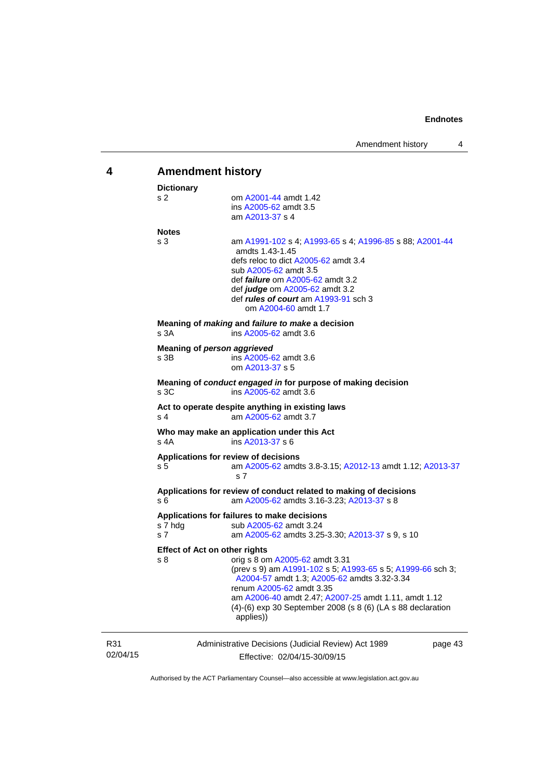<span id="page-46-0"></span>

| 4               |                                                                                                                                                                                                                                                                                                                                                            | <b>Amendment history</b> |  |  |
|-----------------|------------------------------------------------------------------------------------------------------------------------------------------------------------------------------------------------------------------------------------------------------------------------------------------------------------------------------------------------------------|--------------------------|--|--|
|                 | <b>Dictionary</b><br>s 2<br>om A2001-44 amdt 1.42<br>ins A2005-62 amdt 3.5<br>am A2013-37 s 4                                                                                                                                                                                                                                                              |                          |  |  |
|                 | <b>Notes</b><br>s 3<br>am A1991-102 s 4; A1993-65 s 4; A1996-85 s 88; A2001-44<br>amdts 1.43-1.45<br>defs reloc to dict A2005-62 amdt 3.4<br>sub A2005-62 amdt 3.5<br>def <i>failure</i> om A2005-62 amdt 3.2<br>def judge om A2005-62 amdt 3.2<br>def <i>rules of court</i> am A1993-91 sch 3<br>om A2004-60 amdt 1.7                                     |                          |  |  |
|                 | Meaning of <i>making</i> and <i>failure to make</i> a decision<br>s 3A<br>ins A2005-62 amdt 3.6                                                                                                                                                                                                                                                            |                          |  |  |
|                 | Meaning of person aggrieved<br>s 3B<br>ins A2005-62 amdt 3.6<br>om A2013-37 s 5                                                                                                                                                                                                                                                                            |                          |  |  |
|                 | Meaning of conduct engaged in for purpose of making decision<br>s 3C<br>ins A2005-62 amdt 3.6                                                                                                                                                                                                                                                              |                          |  |  |
|                 | Act to operate despite anything in existing laws<br>am A2005-62 amdt 3.7<br>s 4                                                                                                                                                                                                                                                                            |                          |  |  |
|                 | Who may make an application under this Act<br>ins A2013-37 s 6<br>s 4A                                                                                                                                                                                                                                                                                     |                          |  |  |
|                 | Applications for review of decisions<br>am A2005-62 amdts 3.8-3.15; A2012-13 amdt 1.12; A2013-37<br>s 5<br>s 7                                                                                                                                                                                                                                             |                          |  |  |
|                 | Applications for review of conduct related to making of decisions<br>s 6<br>am A2005-62 amdts 3.16-3.23; A2013-37 s 8                                                                                                                                                                                                                                      |                          |  |  |
|                 | Applications for failures to make decisions<br>s 7 hdg<br>sub A2005-62 amdt 3.24<br>s <sub>7</sub><br>am A2005-62 amdts 3.25-3.30; A2013-37 s 9, s 10                                                                                                                                                                                                      |                          |  |  |
|                 | <b>Effect of Act on other rights</b><br>s 8<br>orig s 8 om A2005-62 amdt 3.31<br>(prev s 9) am A1991-102 s 5; A1993-65 s 5; A1999-66 sch 3;<br>A2004-57 amdt 1.3; A2005-62 amdts 3.32-3.34<br>renum A2005-62 amdt 3.35<br>am A2006-40 amdt 2.47; A2007-25 amdt 1.11, amdt 1.12<br>(4)-(6) exp 30 September 2008 (s 8 (6) (LA s 88 declaration<br>applies)) |                          |  |  |
| R31<br>02/04/15 | Administrative Decisions (Judicial Review) Act 1989<br>Effective: 02/04/15-30/09/15                                                                                                                                                                                                                                                                        | page 43                  |  |  |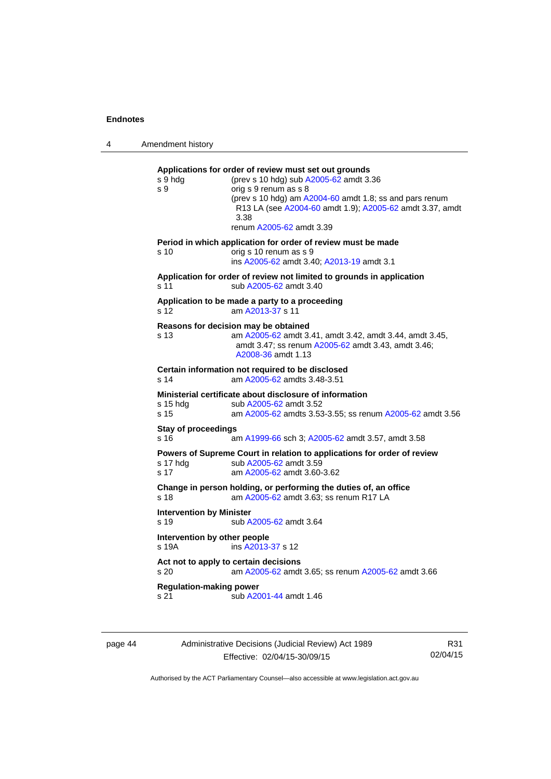4 Amendment history

**Applications for order of review must set out grounds**  s 9 hdg (prev s 10 hdg) sub [A2005-62](http://www.legislation.act.gov.au/a/2005-62) amdt 3.36 s 9 orig s 9 renum as s 8 (prev s 10 hdg) am [A2004-60](http://www.legislation.act.gov.au/a/2004-60) amdt 1.8; ss and pars renum R13 LA (see [A2004-60](http://www.legislation.act.gov.au/a/2004-60) amdt 1.9); [A2005-62](http://www.legislation.act.gov.au/a/2005-62) amdt 3.37, amdt 3.38 renum [A2005-62](http://www.legislation.act.gov.au/a/2005-62) amdt 3.39 **Period in which application for order of review must be made**  s 10 orig s 10 renum as s 9 ins [A2005-62](http://www.legislation.act.gov.au/a/2005-62) amdt 3.40; [A2013-19](http://www.legislation.act.gov.au/a/2013-19) amdt 3.1 **Application for order of review not limited to grounds in application**  s 11 sub [A2005-62](http://www.legislation.act.gov.au/a/2005-62) amdt 3.40 **Application to be made a party to a proceeding**  s 12 am [A2013-37](http://www.legislation.act.gov.au/a/2013-37) s 11 **Reasons for decision may be obtained**  s 13 am [A2005-62](http://www.legislation.act.gov.au/a/2005-62) amdt 3.41, amdt 3.42, amdt 3.44, amdt 3.45, amdt 3.47; ss renum [A2005-62](http://www.legislation.act.gov.au/a/2005-62) amdt 3.43, amdt 3.46; [A2008-36](http://www.legislation.act.gov.au/a/2008-36) amdt 1.13 **Certain information not required to be disclosed**<br>s 14 am A2005-62 amdts 3.48-3.51 am [A2005-62](http://www.legislation.act.gov.au/a/2005-62) amdts 3.48-3.51 **Ministerial certificate about disclosure of information**  s 15 hdg sub [A2005-62](http://www.legislation.act.gov.au/a/2005-62) amdt 3.52 s 15 am [A2005-62](http://www.legislation.act.gov.au/a/2005-62) amdts 3.53-3.55; ss renum [A2005-62](http://www.legislation.act.gov.au/a/2005-62) amdt 3.56 **Stay of proceedings**  s 16 am [A1999-66](http://www.legislation.act.gov.au/a/1999-66) sch 3; [A2005-62](http://www.legislation.act.gov.au/a/2005-62) amdt 3.57, amdt 3.58 **Powers of Supreme Court in relation to applications for order of review s 17 hdg sub A2005-62 amdt 3.59** sub [A2005-62](http://www.legislation.act.gov.au/a/2005-62) amdt 3.59 s 17 am [A2005-62](http://www.legislation.act.gov.au/a/2005-62) amdt 3.60-3.62 **Change in person holding, or performing the duties of, an office**  s 18 **am [A2005-62](http://www.legislation.act.gov.au/a/2005-62)** amdt 3.63; ss renum R17 LA

**Intervention by Minister**  s 19 sub [A2005-62](http://www.legislation.act.gov.au/a/2005-62) amdt 3.64 **Intervention by other people**  s 19A ins [A2013-37](http://www.legislation.act.gov.au/a/2013-37) s 12 **Act not to apply to certain decisions**  s 20 am [A2005-62](http://www.legislation.act.gov.au/a/2005-62) amdt 3.65; ss renum [A2005-62](http://www.legislation.act.gov.au/a/2005-62) amdt 3.66 **Regulation-making power**  s 21 sub [A2001-44](http://www.legislation.act.gov.au/a/2001-44) amdt 1.46

| page 44 | Administrative Decisions (Judicial Review) Act 1989 | R31      |
|---------|-----------------------------------------------------|----------|
|         | Effective: 02/04/15-30/09/15                        | 02/04/15 |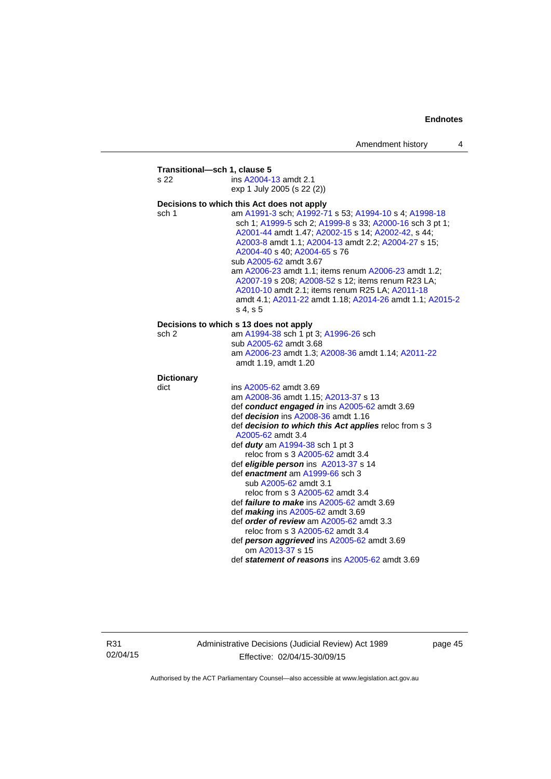| s 22              | ins A2004-13 amdt 2.1                                                                                                                                                                                                                                                                                                                                                                                                                                                                                                             |
|-------------------|-----------------------------------------------------------------------------------------------------------------------------------------------------------------------------------------------------------------------------------------------------------------------------------------------------------------------------------------------------------------------------------------------------------------------------------------------------------------------------------------------------------------------------------|
|                   | exp 1 July 2005 (s 22 (2))                                                                                                                                                                                                                                                                                                                                                                                                                                                                                                        |
|                   | Decisions to which this Act does not apply                                                                                                                                                                                                                                                                                                                                                                                                                                                                                        |
| sch 1             | am A1991-3 sch; A1992-71 s 53; A1994-10 s 4; A1998-18<br>sch 1; A1999-5 sch 2; A1999-8 s 33; A2000-16 sch 3 pt 1;<br>A2001-44 amdt 1.47; A2002-15 s 14; A2002-42, s 44;<br>A2003-8 amdt 1.1; A2004-13 amdt 2.2; A2004-27 s 15;<br>A2004-40 s 40; A2004-65 s 76<br>sub A2005-62 amdt 3.67<br>am A2006-23 amdt 1.1; items renum A2006-23 amdt 1.2;<br>A2007-19 s 208; A2008-52 s 12; items renum R23 LA;<br>A2010-10 amdt 2.1; items renum R25 LA; A2011-18<br>amdt 4.1; A2011-22 amdt 1.18; A2014-26 amdt 1.1; A2015-2<br>s 4, s 5 |
|                   | Decisions to which s 13 does not apply                                                                                                                                                                                                                                                                                                                                                                                                                                                                                            |
| sch 2             | am A1994-38 sch 1 pt 3; A1996-26 sch                                                                                                                                                                                                                                                                                                                                                                                                                                                                                              |
|                   | sub A2005-62 amdt 3.68                                                                                                                                                                                                                                                                                                                                                                                                                                                                                                            |
|                   | am A2006-23 amdt 1.3; A2008-36 amdt 1.14; A2011-22<br>amdt 1.19, amdt 1.20                                                                                                                                                                                                                                                                                                                                                                                                                                                        |
| <b>Dictionary</b> |                                                                                                                                                                                                                                                                                                                                                                                                                                                                                                                                   |
| dict              | ins A2005-62 amdt 3.69                                                                                                                                                                                                                                                                                                                                                                                                                                                                                                            |
|                   | am A2008-36 amdt 1.15; A2013-37 s 13                                                                                                                                                                                                                                                                                                                                                                                                                                                                                              |
|                   | def conduct engaged in ins A2005-62 amdt 3.69                                                                                                                                                                                                                                                                                                                                                                                                                                                                                     |
|                   | def <i>decision</i> ins A2008-36 amdt 1.16                                                                                                                                                                                                                                                                                                                                                                                                                                                                                        |
|                   | def decision to which this Act applies reloc from s 3<br>A2005-62 amdt 3.4                                                                                                                                                                                                                                                                                                                                                                                                                                                        |
|                   | def <i>duty</i> am A1994-38 sch 1 pt 3                                                                                                                                                                                                                                                                                                                                                                                                                                                                                            |
|                   | reloc from s 3 A2005-62 amdt 3.4                                                                                                                                                                                                                                                                                                                                                                                                                                                                                                  |
|                   | def eligible person ins A2013-37 s 14                                                                                                                                                                                                                                                                                                                                                                                                                                                                                             |
|                   | def enactment am A1999-66 sch 3                                                                                                                                                                                                                                                                                                                                                                                                                                                                                                   |
|                   | sub A2005-62 amdt 3.1                                                                                                                                                                                                                                                                                                                                                                                                                                                                                                             |
|                   | reloc from s 3 A2005-62 amdt 3.4                                                                                                                                                                                                                                                                                                                                                                                                                                                                                                  |
|                   | def <i>failure to make</i> ins A2005-62 amdt 3.69                                                                                                                                                                                                                                                                                                                                                                                                                                                                                 |
|                   | def <i>making</i> ins A2005-62 amdt 3.69                                                                                                                                                                                                                                                                                                                                                                                                                                                                                          |
|                   | def order of review am A2005-62 amdt 3.3                                                                                                                                                                                                                                                                                                                                                                                                                                                                                          |
|                   | reloc from s 3 A2005-62 amdt 3.4                                                                                                                                                                                                                                                                                                                                                                                                                                                                                                  |
|                   | def person aggrieved ins A2005-62 amdt 3.69<br>om A2013-37 s 15                                                                                                                                                                                                                                                                                                                                                                                                                                                                   |
|                   | def statement of reasons ins A2005-62 amdt 3.69                                                                                                                                                                                                                                                                                                                                                                                                                                                                                   |

R31 02/04/15 Administrative Decisions (Judicial Review) Act 1989 Effective: 02/04/15-30/09/15

page 45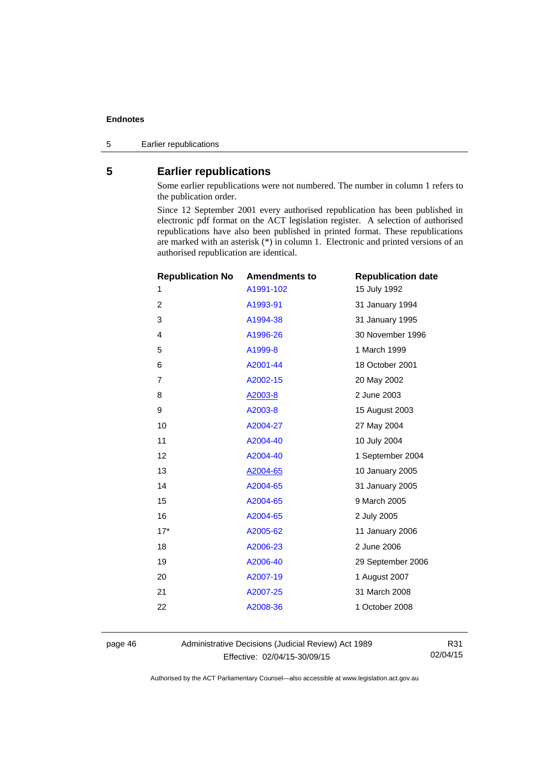5 Earlier republications

### <span id="page-49-0"></span>**5 Earlier republications**

Some earlier republications were not numbered. The number in column 1 refers to the publication order.

Since 12 September 2001 every authorised republication has been published in electronic pdf format on the ACT legislation register. A selection of authorised republications have also been published in printed format. These republications are marked with an asterisk (\*) in column 1. Electronic and printed versions of an authorised republication are identical.

| <b>Republication No</b> | <b>Amendments to</b> | <b>Republication date</b> |
|-------------------------|----------------------|---------------------------|
| 1                       | A1991-102            | 15 July 1992              |
| $\overline{2}$          | A1993-91             | 31 January 1994           |
| 3                       | A1994-38             | 31 January 1995           |
| 4                       | A1996-26             | 30 November 1996          |
| 5                       | A1999-8              | 1 March 1999              |
| 6                       | A2001-44             | 18 October 2001           |
| 7                       | A2002-15             | 20 May 2002               |
| 8                       | A2003-8              | 2 June 2003               |
| 9                       | A2003-8              | 15 August 2003            |
| 10                      | A2004-27             | 27 May 2004               |
| 11                      | A2004-40             | 10 July 2004              |
| 12                      | A2004-40             | 1 September 2004          |
| 13                      | A2004-65             | 10 January 2005           |
| 14                      | A2004-65             | 31 January 2005           |
| 15                      | A2004-65             | 9 March 2005              |
| 16                      | A2004-65             | 2 July 2005               |
| $17*$                   | A2005-62             | 11 January 2006           |
| 18                      | A2006-23             | 2 June 2006               |
| 19                      | A2006-40             | 29 September 2006         |
| 20                      | A2007-19             | 1 August 2007             |
| 21                      | A2007-25             | 31 March 2008             |
| 22                      | A2008-36             | 1 October 2008            |
|                         |                      |                           |

page 46 Administrative Decisions (Judicial Review) Act 1989 Effective: 02/04/15-30/09/15

R31 02/04/15